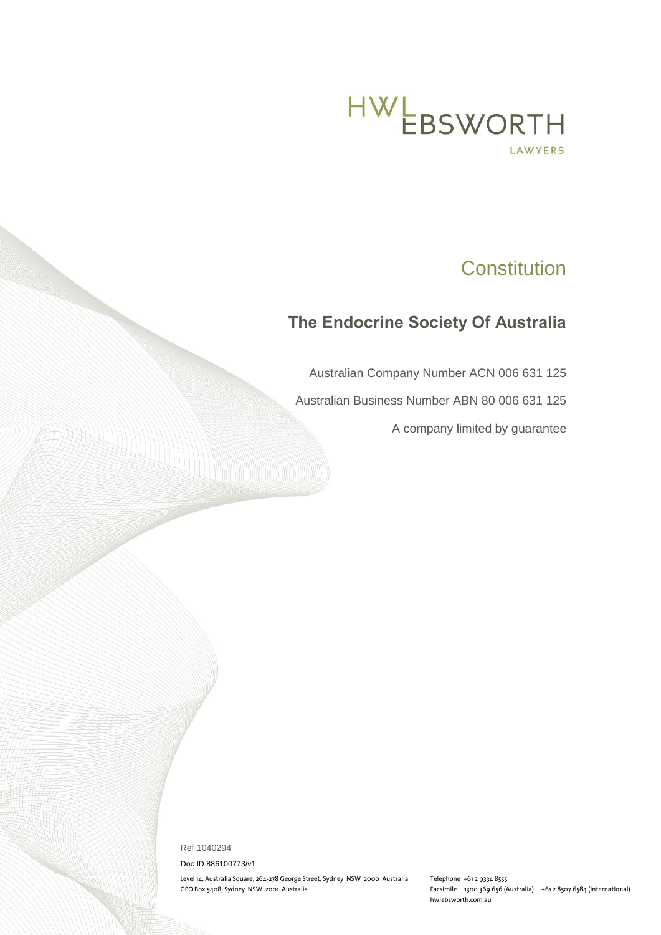

# **Constitution**

## **The Endocrine Society Of Australia**

Australian Company Number ACN 006 631 125

Australian Business Number ABN 80 006 631 125

A company limited by guarantee

Ref 1040294

Doc ID 886100773/v1

Level 14, Australia Square, 264-278 George Street, Sydney NSW 2000 Australia Telephone +61 2 9334 8555

Facsimile 1300 369 656 (Australia) +61 2 8507 6584 (International) hwlebsworth.com.au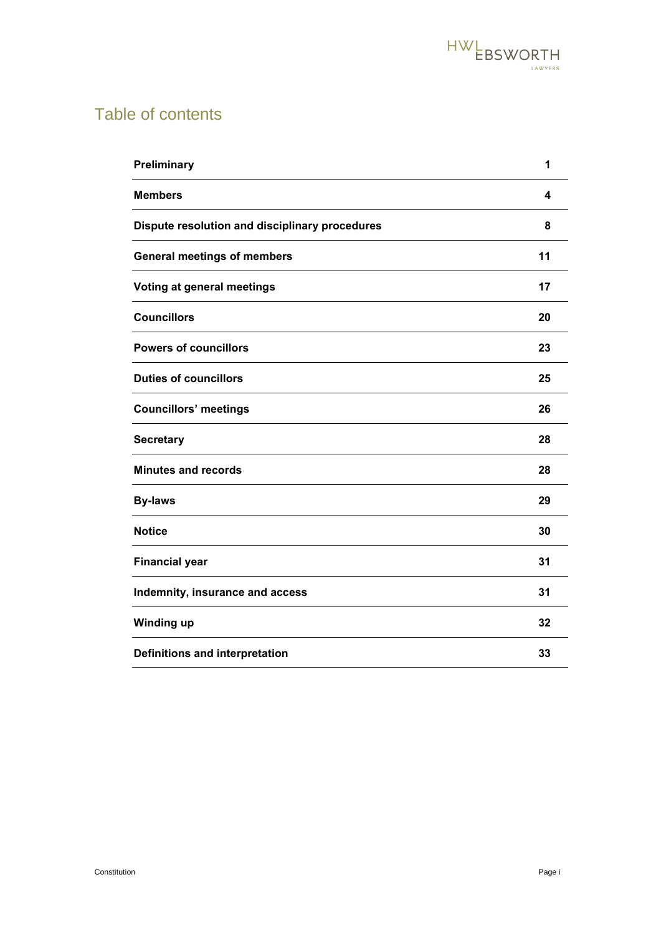

# Table of contents

| Preliminary                                    | 1  |
|------------------------------------------------|----|
| <b>Members</b>                                 | 4  |
| Dispute resolution and disciplinary procedures | 8  |
| <b>General meetings of members</b>             | 11 |
| Voting at general meetings                     | 17 |
| <b>Councillors</b>                             | 20 |
| <b>Powers of councillors</b>                   | 23 |
| <b>Duties of councillors</b>                   | 25 |
| <b>Councillors' meetings</b>                   | 26 |
| <b>Secretary</b>                               | 28 |
| <b>Minutes and records</b>                     | 28 |
| <b>By-laws</b>                                 | 29 |
| <b>Notice</b>                                  | 30 |
| <b>Financial year</b>                          | 31 |
| Indemnity, insurance and access                | 31 |
| Winding up                                     | 32 |
| <b>Definitions and interpretation</b>          | 33 |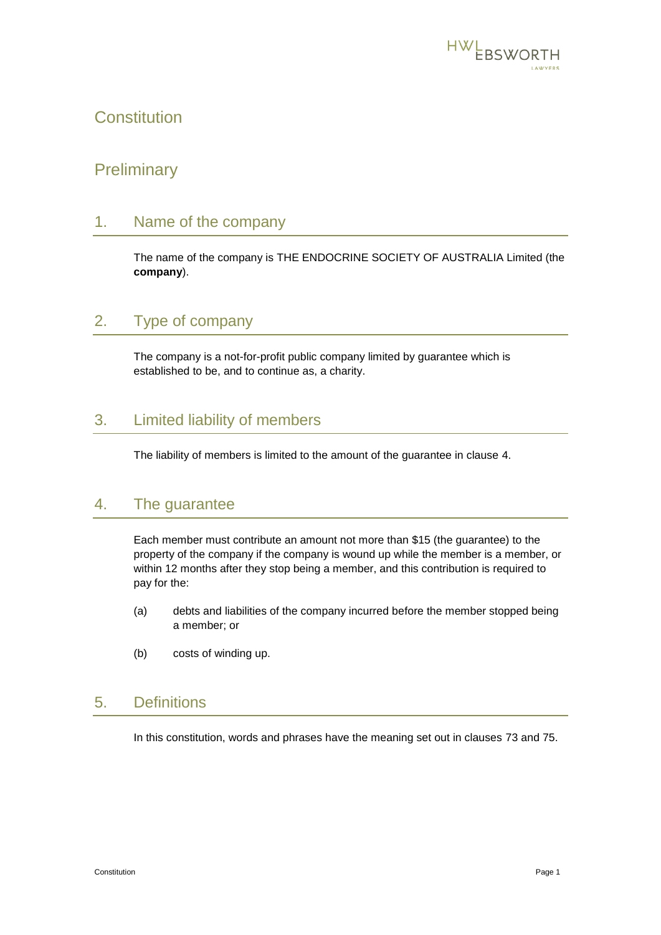

## **Constitution**

## <span id="page-2-0"></span>**Preliminary**

#### <span id="page-2-2"></span>1. Name of the company

The name of the company is THE ENDOCRINE SOCIETY OF AUSTRALIA Limited (the **company**).

## 2. Type of company

The company is a not-for-profit public company limited by guarantee which is established to be, and to continue as, a charity.

## 3. Limited liability of members

The liability of members is limited to the amount of the guarantee in clause [4.](#page-2-1)

#### <span id="page-2-1"></span>4. The guarantee

Each member must contribute an amount not more than \$15 (the guarantee) to the property of the company if the company is wound up while the member is a member, or within 12 months after they stop being a member, and this contribution is required to pay for the:

- (a) debts and liabilities of the company incurred before the member stopped being a member; or
- (b) costs of winding up.

## 5. Definitions

In this constitution, words and phrases have the meaning set out in clauses 73 and 75.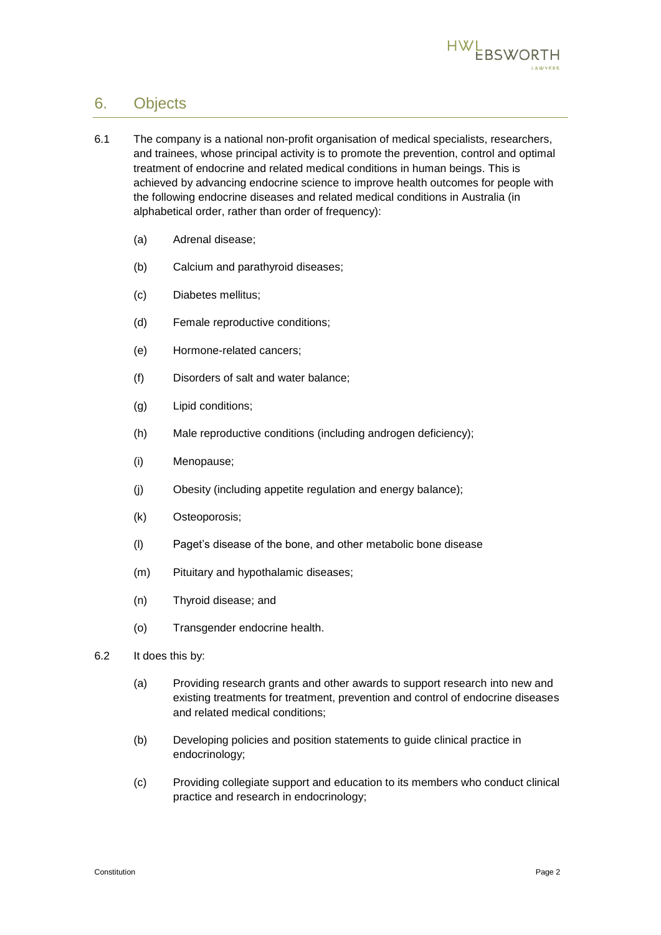

## <span id="page-3-0"></span>6. Objects

- 6.1 The company is a national non-profit organisation of medical specialists, researchers, and trainees, whose principal activity is to promote the prevention, control and optimal treatment of endocrine and related medical conditions in human beings. This is achieved by advancing endocrine science to improve health outcomes for people with the following endocrine diseases and related medical conditions in Australia (in alphabetical order, rather than order of frequency):
	- (a) Adrenal disease;
	- (b) Calcium and parathyroid diseases;
	- (c) Diabetes mellitus;
	- (d) Female reproductive conditions;
	- (e) Hormone-related cancers;
	- (f) Disorders of salt and water balance;
	- (g) Lipid conditions;
	- (h) Male reproductive conditions (including androgen deficiency);
	- (i) Menopause;
	- (j) Obesity (including appetite regulation and energy balance);
	- (k) Osteoporosis;
	- (l) Paget's disease of the bone, and other metabolic bone disease
	- (m) Pituitary and hypothalamic diseases;
	- (n) Thyroid disease; and
	- (o) Transgender endocrine health.
- 6.2 It does this by:
	- (a) Providing research grants and other awards to support research into new and existing treatments for treatment, prevention and control of endocrine diseases and related medical conditions;
	- (b) Developing policies and position statements to guide clinical practice in endocrinology;
	- (c) Providing collegiate support and education to its members who conduct clinical practice and research in endocrinology;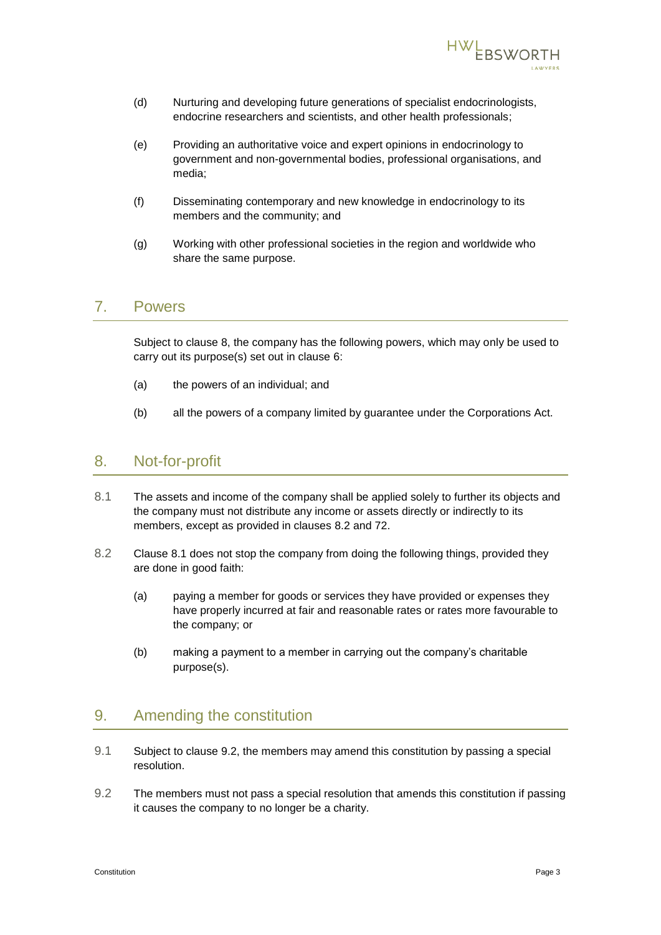

- (d) Nurturing and developing future generations of specialist endocrinologists, endocrine researchers and scientists, and other health professionals;
- (e) Providing an authoritative voice and expert opinions in endocrinology to government and non-governmental bodies, professional organisations, and media;
- (f) Disseminating contemporary and new knowledge in endocrinology to its members and the community; and
- (g) Working with other professional societies in the region and worldwide who share the same purpose.

#### 7. Powers

Subject to clause [8,](#page-4-0) the company has the following powers, which may only be used to carry out its purpose(s) set out in clause [6:](#page-3-0)

- (a) the powers of an individual; and
- (b) all the powers of a company limited by guarantee under the Corporations Act.

#### <span id="page-4-0"></span>8. Not-for-profit

- <span id="page-4-2"></span>8.1 The assets and income of the company shall be applied solely to further its objects and the company must not distribute any income or assets directly or indirectly to its members, except as provided in clauses [8.2](#page-4-1) and [72.](#page-34-1)
- <span id="page-4-1"></span>8.2 Clause [8.1](#page-4-2) does not stop the company from doing the following things, provided they are done in good faith:
	- (a) paying a member for goods or services they have provided or expenses they have properly incurred at fair and reasonable rates or rates more favourable to the company; or
	- (b) making a payment to a member in carrying out the company's charitable purpose(s).

## 9. Amending the constitution

- 9.1 Subject to clause [9.2,](#page-4-3) the members may amend this constitution by passing a special resolution.
- <span id="page-4-3"></span>9.2 The members must not pass a special resolution that amends this constitution if passing it causes the company to no longer be a charity.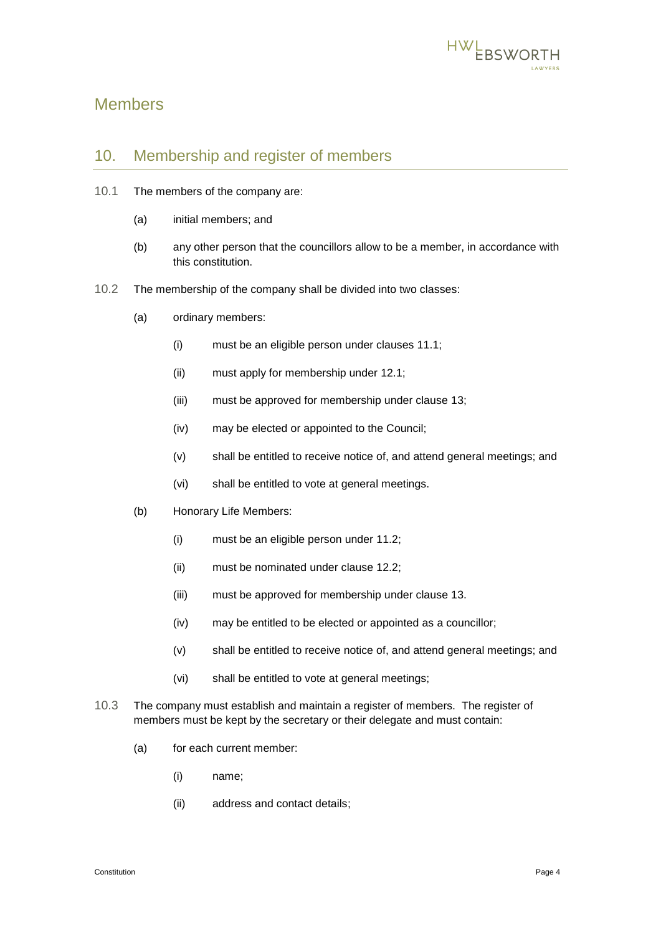

## <span id="page-5-0"></span>Members

#### 10. Membership and register of members

- 10.1 The members of the company are:
	- (a) initial members; and
	- (b) any other person that the councillors allow to be a member, in accordance with this constitution.
- <span id="page-5-3"></span><span id="page-5-2"></span>10.2 The membership of the company shall be divided into two classes:
	- (a) ordinary members:
		- (i) must be an eligible person under clauses [11.1;](#page-6-0)
		- (ii) must apply for membership under [12.1;](#page-6-1)
		- (iii) must be approved for membership under clause [13;](#page-7-0)
		- (iv) may be elected or appointed to the Council;
		- (v) shall be entitled to receive notice of, and attend general meetings; and
		- (vi) shall be entitled to vote at general meetings.
	- (b) Honorary Life Members:
		- (i) must be an eligible person under [11.2;](#page-6-2)
		- (ii) must be nominated under clause [12.2;](#page-7-1)
		- (iii) must be approved for membership under clause [13.](#page-7-0)
		- (iv) may be entitled to be elected or appointed as a councillor;
		- (v) shall be entitled to receive notice of, and attend general meetings; and
		- (vi) shall be entitled to vote at general meetings;
- <span id="page-5-1"></span>10.3 The company must establish and maintain a register of members. The register of members must be kept by the secretary or their delegate and must contain:
	- (a) for each current member:
		- (i) name;
		- (ii) address and contact details;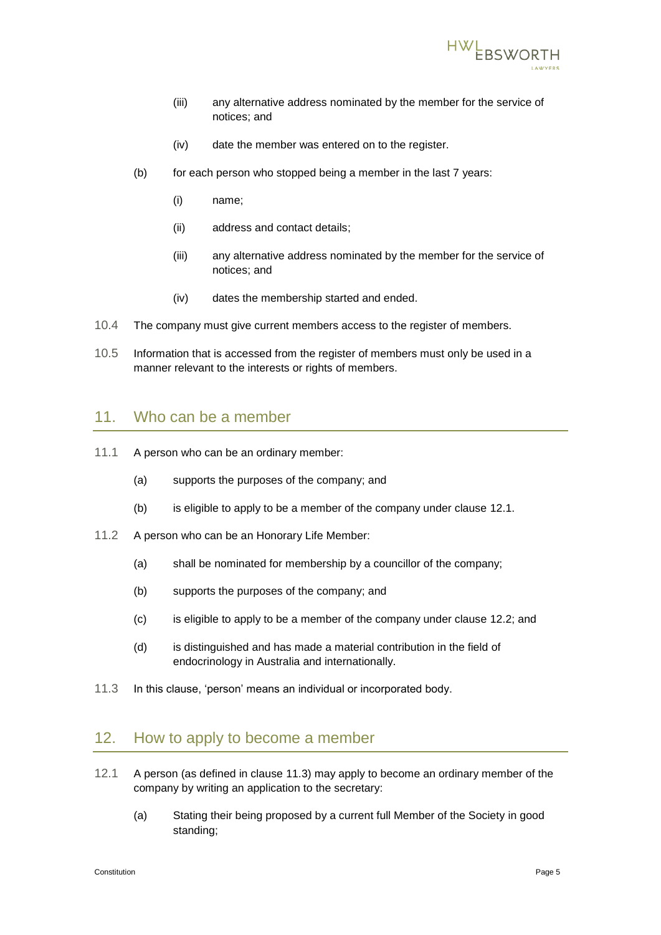

- (iii) any alternative address nominated by the member for the service of notices; and
- (iv) date the member was entered on to the register.
- (b) for each person who stopped being a member in the last 7 years:
	- (i) name;
	- (ii) address and contact details;
	- (iii) any alternative address nominated by the member for the service of notices; and
	- (iv) dates the membership started and ended.
- 10.4 The company must give current members access to the register of members.
- 10.5 Information that is accessed from the register of members must only be used in a manner relevant to the interests or rights of members.

#### 11. Who can be a member

- <span id="page-6-0"></span>11.1 A person who can be an ordinary member:
	- (a) supports the purposes of the company; and
	- (b) is eligible to apply to be a member of the company under clause [12.1.](#page-6-1)
- <span id="page-6-2"></span>11.2 A person who can be an Honorary Life Member:
	- (a) shall be nominated for membership by a councillor of the company;
	- (b) supports the purposes of the company; and
	- (c) is eligible to apply to be a member of the company under clause [12.2;](#page-7-1) and
	- (d) is distinguished and has made a material contribution in the field of endocrinology in Australia and internationally.
- <span id="page-6-3"></span>11.3 In this clause, 'person' means an individual or incorporated body.

## 12. How to apply to become a member

- <span id="page-6-1"></span>12.1 A person (as defined in clause [11.3\)](#page-6-3) may apply to become an ordinary member of the company by writing an application to the secretary:
	- (a) Stating their being proposed by a current full Member of the Society in good standing;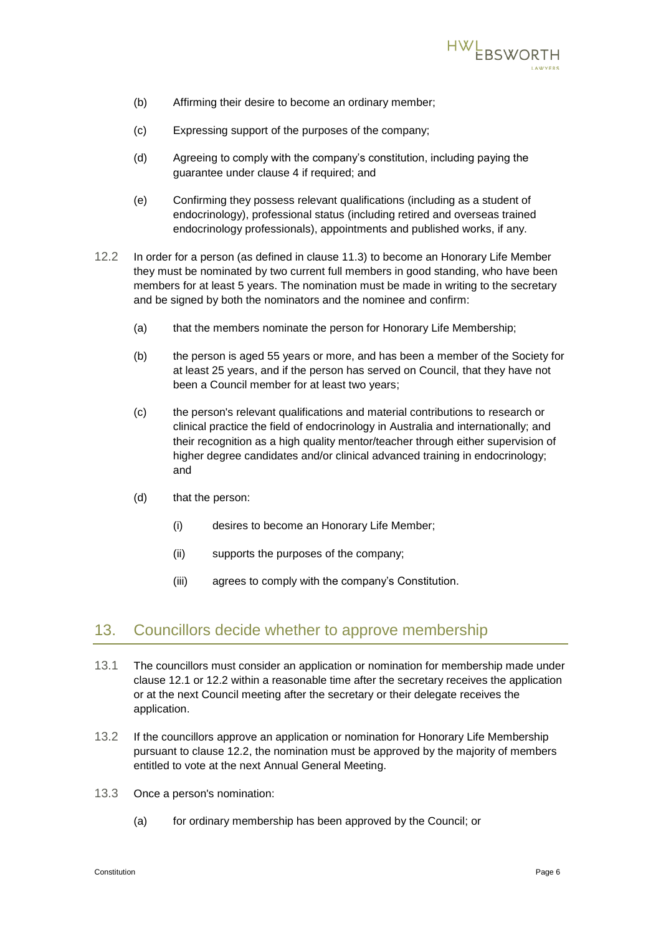

- (b) Affirming their desire to become an ordinary member;
- (c) Expressing support of the purposes of the company;
- (d) Agreeing to comply with the company's constitution, including paying the guarantee under clause [4](#page-2-1) if required; and
- (e) Confirming they possess relevant qualifications (including as a student of endocrinology), professional status (including retired and overseas trained endocrinology professionals), appointments and published works, if any.
- <span id="page-7-1"></span>12.2 In order for a person (as defined in clause 11.3) to become an Honorary Life Member they must be nominated by two current full members in good standing, who have been members for at least 5 years. The nomination must be made in writing to the secretary and be signed by both the nominators and the nominee and confirm:
	- (a) that the members nominate the person for Honorary Life Membership;
	- (b) the person is aged 55 years or more, and has been a member of the Society for at least 25 years, and if the person has served on Council, that they have not been a Council member for at least two years;
	- (c) the person's relevant qualifications and material contributions to research or clinical practice the field of endocrinology in Australia and internationally; and their recognition as a high quality mentor/teacher through either supervision of higher degree candidates and/or clinical advanced training in endocrinology; and
	- (d) that the person:
		- (i) desires to become an Honorary Life Member;
		- (ii) supports the purposes of the company;
		- (iii) agrees to comply with the company's Constitution.

#### <span id="page-7-0"></span>13. Councillors decide whether to approve membership

- 13.1 The councillors must consider an application or nomination for membership made under clause [12.1](#page-6-1) or [12.2](#page-7-1) within a reasonable time after the secretary receives the application or at the next Council meeting after the secretary or their delegate receives the application.
- 13.2 If the councillors approve an application or nomination for Honorary Life Membership pursuant to clause 12.2, the nomination must be approved by the majority of members entitled to vote at the next Annual General Meeting.
- 13.3 Once a person's nomination:
	- (a) for ordinary membership has been approved by the Council; or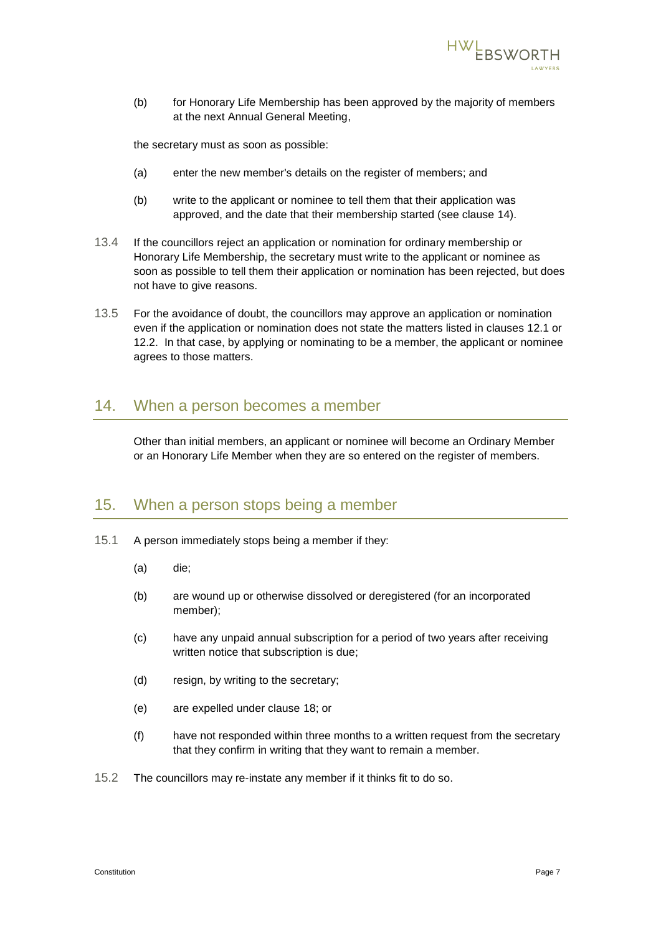

(b) for Honorary Life Membership has been approved by the majority of members at the next Annual General Meeting,

the secretary must as soon as possible:

- (a) enter the new member's details on the register of members; and
- (b) write to the applicant or nominee to tell them that their application was approved, and the date that their membership started (see clause [14\)](#page-8-0).
- 13.4 If the councillors reject an application or nomination for ordinary membership or Honorary Life Membership, the secretary must write to the applicant or nominee as soon as possible to tell them their application or nomination has been rejected, but does not have to give reasons.
- 13.5 For the avoidance of doubt, the councillors may approve an application or nomination even if the application or nomination does not state the matters listed in clauses [12.1](#page-6-1) or [12.2.](#page-7-1) In that case, by applying or nominating to be a member, the applicant or nominee agrees to those matters.

#### <span id="page-8-0"></span>14. When a person becomes a member

Other than initial members, an applicant or nominee will become an Ordinary Member or an Honorary Life Member when they are so entered on the register of members.

#### <span id="page-8-1"></span>15. When a person stops being a member

- 15.1 A person immediately stops being a member if they:
	- (a) die;
	- (b) are wound up or otherwise dissolved or deregistered (for an incorporated member);
	- (c) have any unpaid annual subscription for a period of two years after receiving written notice that subscription is due;
	- (d) resign, by writing to the secretary;
	- (e) are expelled under clause [18;](#page-10-0) or
	- (f) have not responded within three months to a written request from the secretary that they confirm in writing that they want to remain a member.
- 15.2 The councillors may re-instate any member if it thinks fit to do so.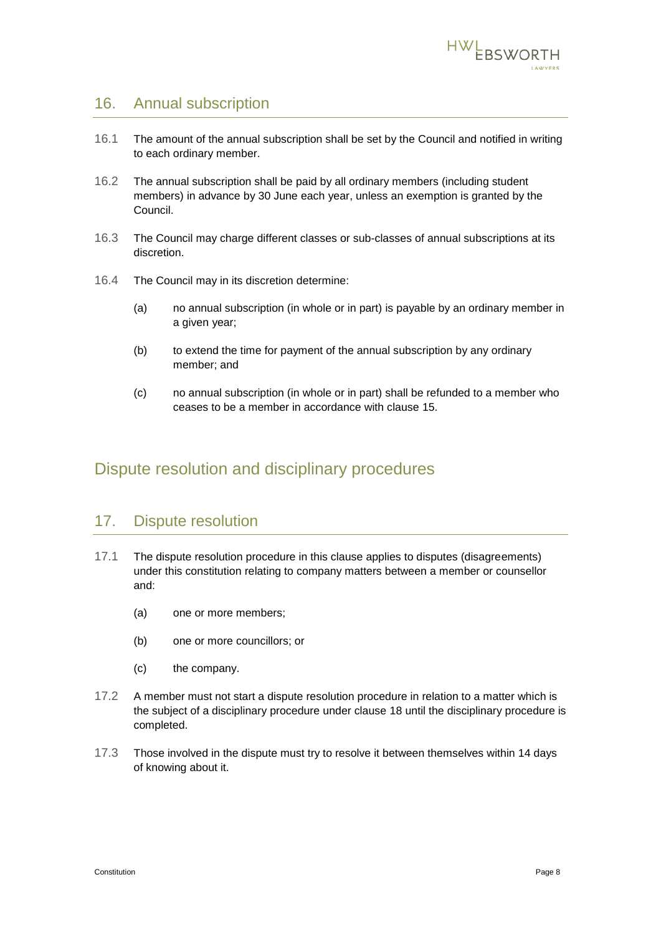

## <span id="page-9-2"></span>16. Annual subscription

- 16.1 The amount of the annual subscription shall be set by the Council and notified in writing to each ordinary member.
- 16.2 The annual subscription shall be paid by all ordinary members (including student members) in advance by 30 June each year, unless an exemption is granted by the Council.
- 16.3 The Council may charge different classes or sub-classes of annual subscriptions at its discretion.
- 16.4 The Council may in its discretion determine:
	- (a) no annual subscription (in whole or in part) is payable by an ordinary member in a given year;
	- (b) to extend the time for payment of the annual subscription by any ordinary member; and
	- (c) no annual subscription (in whole or in part) shall be refunded to a member who ceases to be a member in accordance with clause [15.](#page-8-1)

## <span id="page-9-0"></span>Dispute resolution and disciplinary procedures

## 17. Dispute resolution

- 17.1 The dispute resolution procedure in this clause applies to disputes (disagreements) under this constitution relating to company matters between a member or counsellor and:
	- (a) one or more members;
	- (b) one or more councillors; or
	- (c) the company.
- 17.2 A member must not start a dispute resolution procedure in relation to a matter which is the subject of a disciplinary procedure under clause [18](#page-10-0) until the disciplinary procedure is completed.
- <span id="page-9-1"></span>17.3 Those involved in the dispute must try to resolve it between themselves within 14 days of knowing about it.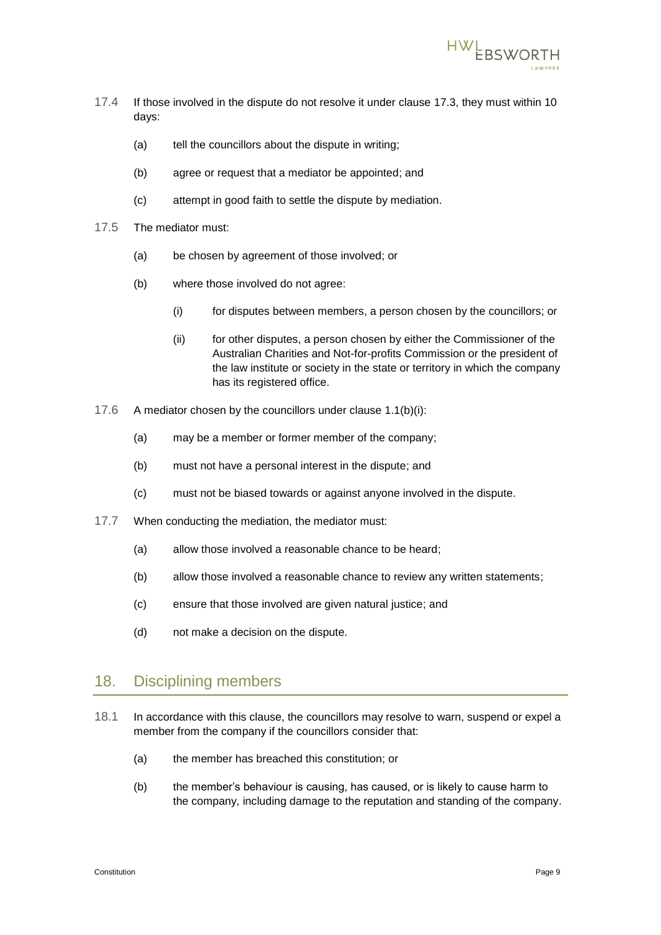

- 17.4 If those involved in the dispute do not resolve it under clause [17.3,](#page-9-1) they must within 10 days:
	- (a) tell the councillors about the dispute in writing;
	- (b) agree or request that a mediator be appointed; and
	- (c) attempt in good faith to settle the dispute by mediation.
- <span id="page-10-1"></span>17.5 The mediator must:
	- (a) be chosen by agreement of those involved; or
	- (b) where those involved do not agree:
		- (i) for disputes between members, a person chosen by the councillors; or
		- (ii) for other disputes, a person chosen by either the Commissioner of the Australian Charities and Not-for-profits Commission or the president of the law institute or society in the state or territory in which the company has its registered office.
- 17.6 A mediator chosen by the councillors under clause [1.1\(b\)\(i\):](#page-10-1)
	- (a) may be a member or former member of the company;
	- (b) must not have a personal interest in the dispute; and
	- (c) must not be biased towards or against anyone involved in the dispute.
- 17.7 When conducting the mediation, the mediator must:
	- (a) allow those involved a reasonable chance to be heard;
	- (b) allow those involved a reasonable chance to review any written statements;
	- (c) ensure that those involved are given natural justice; and
	- (d) not make a decision on the dispute.

#### <span id="page-10-0"></span>18. Disciplining members

- <span id="page-10-2"></span>18.1 In accordance with this clause, the councillors may resolve to warn, suspend or expel a member from the company if the councillors consider that:
	- (a) the member has breached this constitution; or
	- (b) the member's behaviour is causing, has caused, or is likely to cause harm to the company, including damage to the reputation and standing of the company.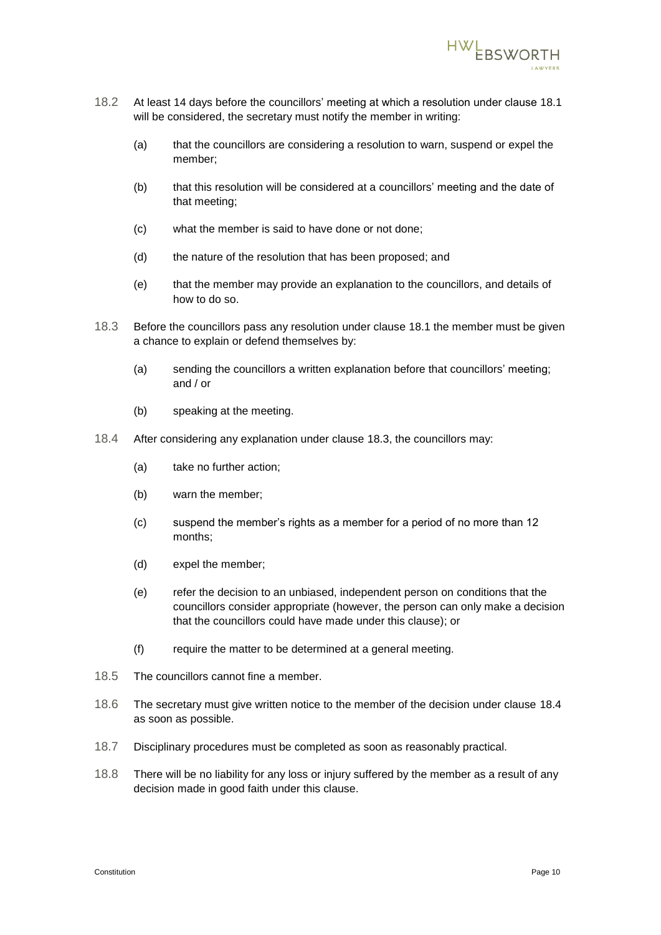

- 18.2 At least 14 days before the councillors' meeting at which a resolution under clause [18.1](#page-10-2) will be considered, the secretary must notify the member in writing:
	- (a) that the councillors are considering a resolution to warn, suspend or expel the member;
	- (b) that this resolution will be considered at a councillors' meeting and the date of that meeting;
	- (c) what the member is said to have done or not done;
	- (d) the nature of the resolution that has been proposed; and
	- (e) that the member may provide an explanation to the councillors, and details of how to do so.
- <span id="page-11-0"></span>18.3 Before the councillors pass any resolution under clause [18.1](#page-10-2) the member must be given a chance to explain or defend themselves by:
	- (a) sending the councillors a written explanation before that councillors' meeting; and / or
	- (b) speaking at the meeting.
- <span id="page-11-1"></span>18.4 After considering any explanation under clause [18.3,](#page-11-0) the councillors may:
	- (a) take no further action;
	- (b) warn the member;
	- (c) suspend the member's rights as a member for a period of no more than 12 months;
	- (d) expel the member;
	- (e) refer the decision to an unbiased, independent person on conditions that the councillors consider appropriate (however, the person can only make a decision that the councillors could have made under this clause); or
	- (f) require the matter to be determined at a general meeting.
- 18.5 The councillors cannot fine a member.
- 18.6 The secretary must give written notice to the member of the decision under clause [18.4](#page-11-1) as soon as possible.
- 18.7 Disciplinary procedures must be completed as soon as reasonably practical.
- 18.8 There will be no liability for any loss or injury suffered by the member as a result of any decision made in good faith under this clause.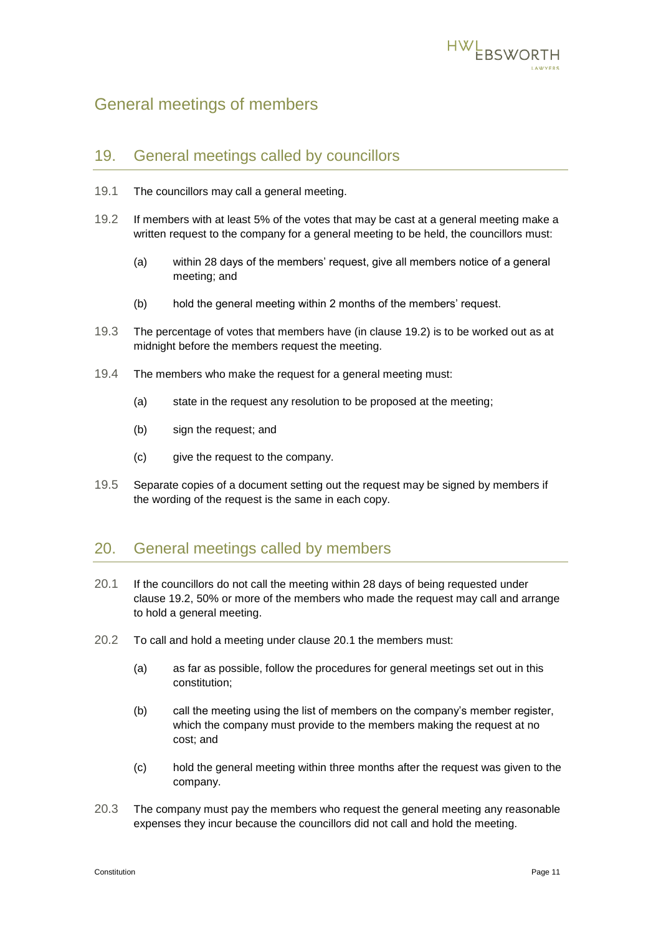

## <span id="page-12-0"></span>General meetings of members

#### 19. General meetings called by councillors

- 19.1 The councillors may call a general meeting.
- <span id="page-12-1"></span>19.2 If members with at least 5% of the votes that may be cast at a general meeting make a written request to the company for a general meeting to be held, the councillors must:
	- (a) within 28 days of the members' request, give all members notice of a general meeting; and
	- (b) hold the general meeting within 2 months of the members' request.
- 19.3 The percentage of votes that members have (in clause [19.2\)](#page-12-1) is to be worked out as at midnight before the members request the meeting.
- 19.4 The members who make the request for a general meeting must:
	- (a) state in the request any resolution to be proposed at the meeting;
	- (b) sign the request; and
	- (c) give the request to the company.
- 19.5 Separate copies of a document setting out the request may be signed by members if the wording of the request is the same in each copy.

## 20. General meetings called by members

- <span id="page-12-2"></span>20.1 If the councillors do not call the meeting within 28 days of being requested under clause [19.2,](#page-12-1) 50% or more of the members who made the request may call and arrange to hold a general meeting.
- 20.2 To call and hold a meeting under clause [20.1](#page-12-2) the members must:
	- (a) as far as possible, follow the procedures for general meetings set out in this constitution;
	- (b) call the meeting using the list of members on the company's member register, which the company must provide to the members making the request at no cost; and
	- (c) hold the general meeting within three months after the request was given to the company.
- 20.3 The company must pay the members who request the general meeting any reasonable expenses they incur because the councillors did not call and hold the meeting.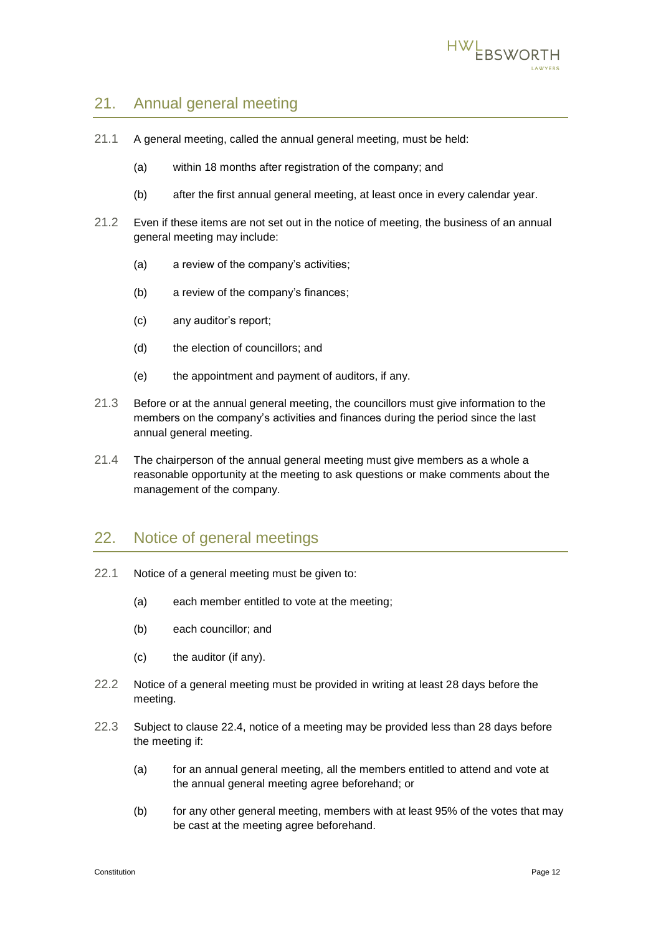

## 21. Annual general meeting

- <span id="page-13-0"></span>21.1 A general meeting, called the annual general meeting, must be held:
	- (a) within 18 months after registration of the company; and
	- (b) after the first annual general meeting, at least once in every calendar year.
- 21.2 Even if these items are not set out in the notice of meeting, the business of an annual general meeting may include:
	- (a) a review of the company's activities;
	- (b) a review of the company's finances;
	- (c) any auditor's report;
	- (d) the election of councillors; and
	- (e) the appointment and payment of auditors, if any.
- 21.3 Before or at the annual general meeting, the councillors must give information to the members on the company's activities and finances during the period since the last annual general meeting.
- 21.4 The chairperson of the annual general meeting must give members as a whole a reasonable opportunity at the meeting to ask questions or make comments about the management of the company.

#### 22. Notice of general meetings

- 22.1 Notice of a general meeting must be given to:
	- (a) each member entitled to vote at the meeting;
	- (b) each councillor; and
	- (c) the auditor (if any).
- 22.2 Notice of a general meeting must be provided in writing at least 28 days before the meeting.
- 22.3 Subject to clause [22.4,](#page-14-0) notice of a meeting may be provided less than 28 days before the meeting if:
	- (a) for an annual general meeting, all the members entitled to attend and vote at the annual general meeting agree beforehand; or
	- (b) for any other general meeting, members with at least 95% of the votes that may be cast at the meeting agree beforehand.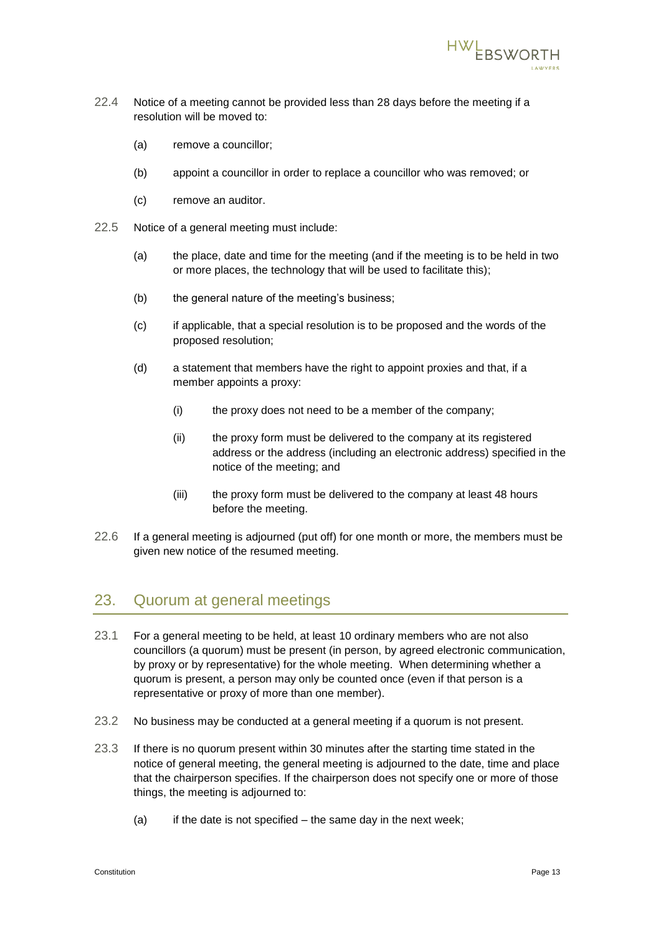

- <span id="page-14-0"></span>22.4 Notice of a meeting cannot be provided less than 28 days before the meeting if a resolution will be moved to:
	- (a) remove a councillor;
	- (b) appoint a councillor in order to replace a councillor who was removed; or
	- (c) remove an auditor.
- <span id="page-14-2"></span><span id="page-14-1"></span>22.5 Notice of a general meeting must include:
	- (a) the place, date and time for the meeting (and if the meeting is to be held in two or more places, the technology that will be used to facilitate this);
	- (b) the general nature of the meeting's business;
	- (c) if applicable, that a special resolution is to be proposed and the words of the proposed resolution;
	- (d) a statement that members have the right to appoint proxies and that, if a member appoints a proxy:
		- (i) the proxy does not need to be a member of the company;
		- (ii) the proxy form must be delivered to the company at its registered address or the address (including an electronic address) specified in the notice of the meeting; and
		- (iii) the proxy form must be delivered to the company at least 48 hours before the meeting.
- 22.6 If a general meeting is adjourned (put off) for one month or more, the members must be given new notice of the resumed meeting.

#### 23. Quorum at general meetings

- 23.1 For a general meeting to be held, at least 10 ordinary members who are not also councillors (a quorum) must be present (in person, by agreed electronic communication, by proxy or by representative) for the whole meeting. When determining whether a quorum is present, a person may only be counted once (even if that person is a representative or proxy of more than one member).
- 23.2 No business may be conducted at a general meeting if a quorum is not present.
- 23.3 If there is no quorum present within 30 minutes after the starting time stated in the notice of general meeting, the general meeting is adjourned to the date, time and place that the chairperson specifies. If the chairperson does not specify one or more of those things, the meeting is adjourned to:
	- $(a)$  if the date is not specified the same day in the next week;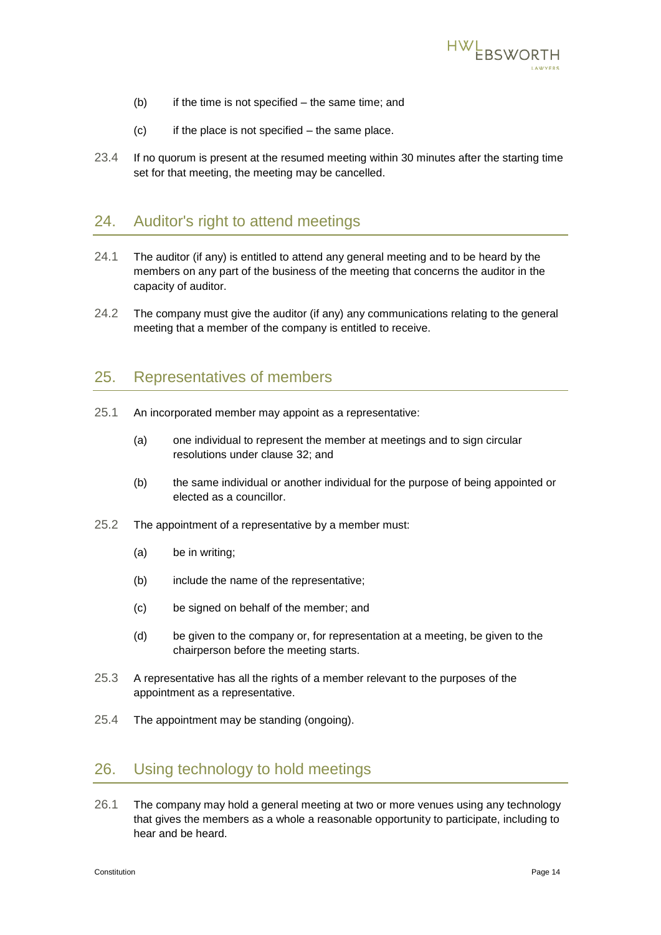

- (b) if the time is not specified the same time; and
- $(c)$  if the place is not specified the same place.
- 23.4 If no quorum is present at the resumed meeting within 30 minutes after the starting time set for that meeting, the meeting may be cancelled.

#### 24. Auditor's right to attend meetings

- 24.1 The auditor (if any) is entitled to attend any general meeting and to be heard by the members on any part of the business of the meeting that concerns the auditor in the capacity of auditor.
- 24.2 The company must give the auditor (if any) any communications relating to the general meeting that a member of the company is entitled to receive.

#### <span id="page-15-0"></span>25. Representatives of members

- 25.1 An incorporated member may appoint as a representative:
	- (a) one individual to represent the member at meetings and to sign circular resolutions under clause [32;](#page-18-1) and
	- (b) the same individual or another individual for the purpose of being appointed or elected as a councillor.
- 25.2 The appointment of a representative by a member must:
	- (a) be in writing;
	- (b) include the name of the representative;
	- (c) be signed on behalf of the member; and
	- (d) be given to the company or, for representation at a meeting, be given to the chairperson before the meeting starts.
- 25.3 A representative has all the rights of a member relevant to the purposes of the appointment as a representative.
- 25.4 The appointment may be standing (ongoing).

#### 26. Using technology to hold meetings

26.1 The company may hold a general meeting at two or more venues using any technology that gives the members as a whole a reasonable opportunity to participate, including to hear and be heard.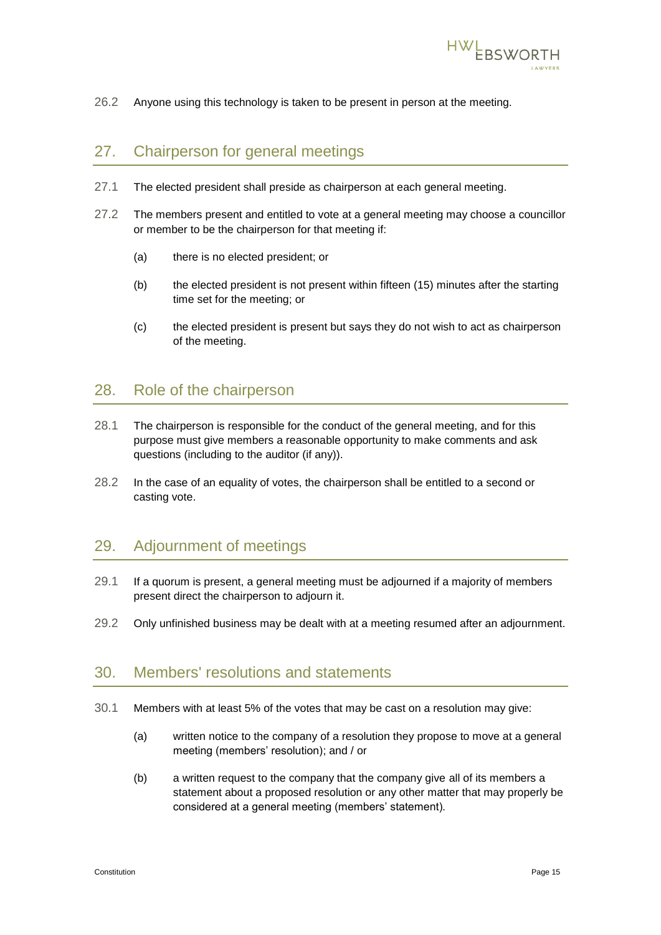

26.2 Anyone using this technology is taken to be present in person at the meeting.

## 27. Chairperson for general meetings

- 27.1 The elected president shall preside as chairperson at each general meeting.
- <span id="page-16-3"></span>27.2 The members present and entitled to vote at a general meeting may choose a councillor or member to be the chairperson for that meeting if:
	- (a) there is no elected president; or
	- (b) the elected president is not present within fifteen (15) minutes after the starting time set for the meeting; or
	- (c) the elected president is present but says they do not wish to act as chairperson of the meeting.

#### 28. Role of the chairperson

- 28.1 The chairperson is responsible for the conduct of the general meeting, and for this purpose must give members a reasonable opportunity to make comments and ask questions (including to the auditor (if any)).
- 28.2 In the case of an equality of votes, the chairperson shall be entitled to a second or casting vote.

#### 29. Adjournment of meetings

- 29.1 If a quorum is present, a general meeting must be adjourned if a majority of members present direct the chairperson to adjourn it.
- 29.2 Only unfinished business may be dealt with at a meeting resumed after an adjournment.

## <span id="page-16-2"></span>30. Members' resolutions and statements

- <span id="page-16-1"></span><span id="page-16-0"></span>30.1 Members with at least 5% of the votes that may be cast on a resolution may give:
	- (a) written notice to the company of a resolution they propose to move at a general meeting (members' resolution); and / or
	- (b) a written request to the company that the company give all of its members a statement about a proposed resolution or any other matter that may properly be considered at a general meeting (members' statement).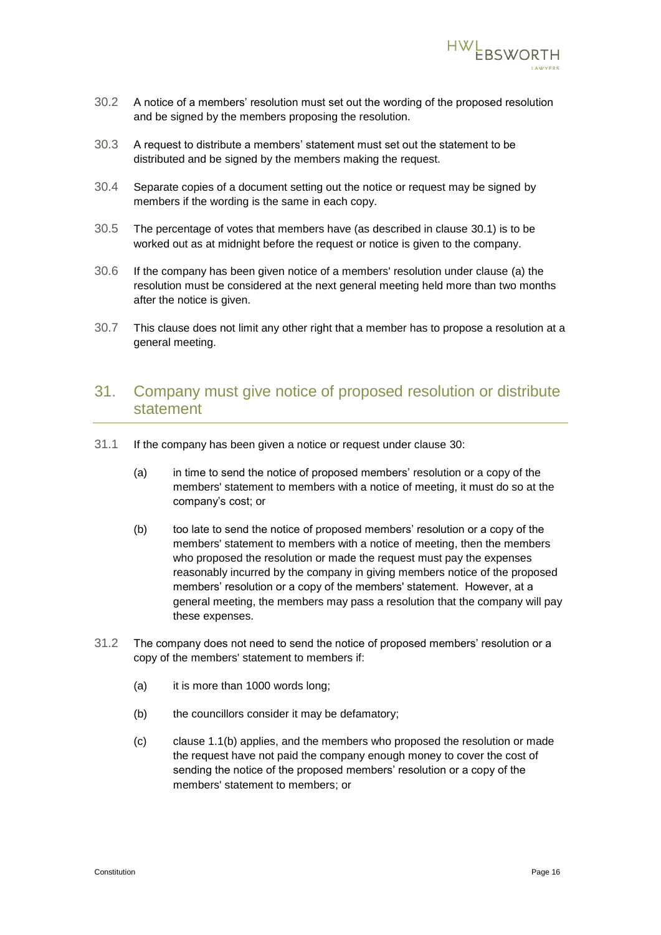

- 30.2 A notice of a members' resolution must set out the wording of the proposed resolution and be signed by the members proposing the resolution.
- 30.3 A request to distribute a members' statement must set out the statement to be distributed and be signed by the members making the request.
- 30.4 Separate copies of a document setting out the notice or request may be signed by members if the wording is the same in each copy.
- 30.5 The percentage of votes that members have (as described in clause [30.1\)](#page-16-0) is to be worked out as at midnight before the request or notice is given to the company.
- 30.6 If the company has been given notice of a members' resolution under clause [\(a\)](#page-16-1) the resolution must be considered at the next general meeting held more than two months after the notice is given.
- 30.7 This clause does not limit any other right that a member has to propose a resolution at a general meeting.

## <span id="page-17-1"></span>31. Company must give notice of proposed resolution or distribute statement

- <span id="page-17-0"></span>31.1 If the company has been given a notice or request under clause [30:](#page-16-2)
	- (a) in time to send the notice of proposed members' resolution or a copy of the members' statement to members with a notice of meeting, it must do so at the company's cost; or
	- (b) too late to send the notice of proposed members' resolution or a copy of the members' statement to members with a notice of meeting, then the members who proposed the resolution or made the request must pay the expenses reasonably incurred by the company in giving members notice of the proposed members' resolution or a copy of the members' statement. However, at a general meeting, the members may pass a resolution that the company will pay these expenses.
- 31.2 The company does not need to send the notice of proposed members' resolution or a copy of the members' statement to members if:
	- (a) it is more than 1000 words long;
	- (b) the councillors consider it may be defamatory;
	- (c) clause [1.1\(b\)](#page-17-0) applies, and the members who proposed the resolution or made the request have not paid the company enough money to cover the cost of sending the notice of the proposed members' resolution or a copy of the members' statement to members; or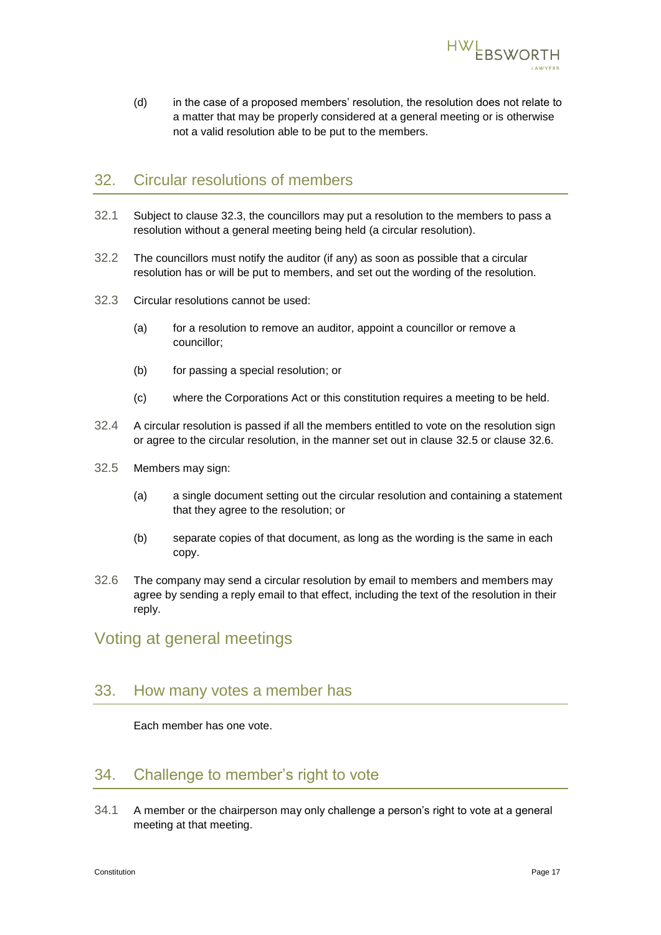

(d) in the case of a proposed members' resolution, the resolution does not relate to a matter that may be properly considered at a general meeting or is otherwise not a valid resolution able to be put to the members.

#### <span id="page-18-1"></span>32. Circular resolutions of members

- 32.1 Subject to clause [32.3,](#page-18-2) the councillors may put a resolution to the members to pass a resolution without a general meeting being held (a circular resolution).
- 32.2 The councillors must notify the auditor (if any) as soon as possible that a circular resolution has or will be put to members, and set out the wording of the resolution.
- <span id="page-18-2"></span>32.3 Circular resolutions cannot be used:
	- (a) for a resolution to remove an auditor, appoint a councillor or remove a councillor;
	- (b) for passing a special resolution; or
	- (c) where the Corporations Act or this constitution requires a meeting to be held.
- 32.4 A circular resolution is passed if all the members entitled to vote on the resolution sign or agree to the circular resolution, in the manner set out in clause [32.5](#page-18-3) or clause [32.6.](#page-18-4)
- <span id="page-18-3"></span>32.5 Members may sign:
	- (a) a single document setting out the circular resolution and containing a statement that they agree to the resolution; or
	- (b) separate copies of that document, as long as the wording is the same in each copy.
- <span id="page-18-4"></span>32.6 The company may send a circular resolution by email to members and members may agree by sending a reply email to that effect, including the text of the resolution in their reply.

<span id="page-18-0"></span>Voting at general meetings

#### 33. How many votes a member has

Each member has one vote.

## 34. Challenge to member's right to vote

<span id="page-18-5"></span>34.1 A member or the chairperson may only challenge a person's right to vote at a general meeting at that meeting.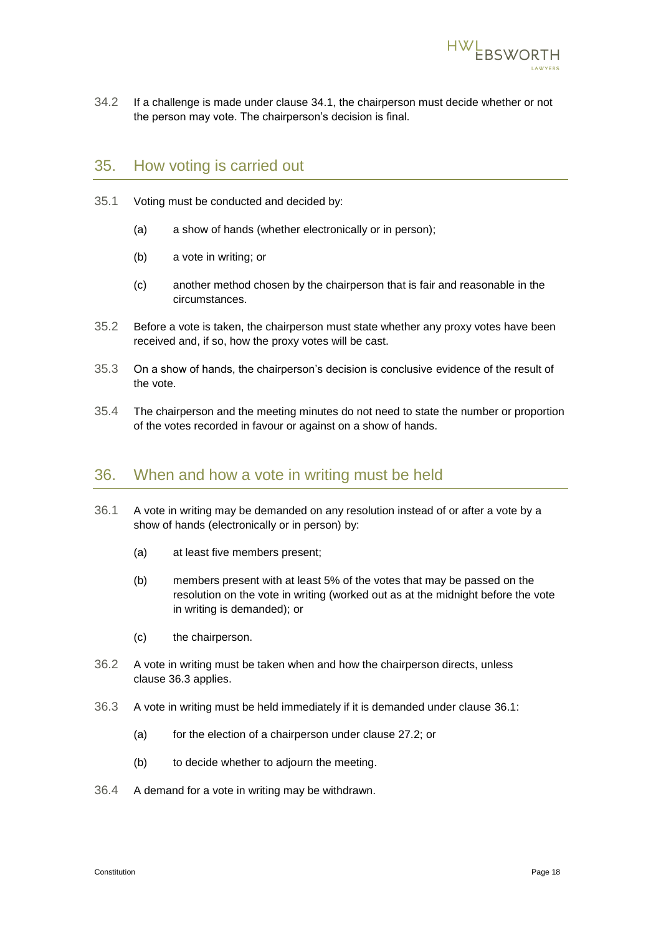

34.2 If a challenge is made under clause [34.1,](#page-18-5) the chairperson must decide whether or not the person may vote. The chairperson's decision is final.

#### 35. How voting is carried out

- 35.1 Voting must be conducted and decided by:
	- (a) a show of hands (whether electronically or in person);
	- (b) a vote in writing; or
	- (c) another method chosen by the chairperson that is fair and reasonable in the circumstances.
- 35.2 Before a vote is taken, the chairperson must state whether any proxy votes have been received and, if so, how the proxy votes will be cast.
- 35.3 On a show of hands, the chairperson's decision is conclusive evidence of the result of the vote.
- 35.4 The chairperson and the meeting minutes do not need to state the number or proportion of the votes recorded in favour or against on a show of hands.

#### 36. When and how a vote in writing must be held

- <span id="page-19-1"></span>36.1 A vote in writing may be demanded on any resolution instead of or after a vote by a show of hands (electronically or in person) by:
	- (a) at least five members present;
	- (b) members present with at least 5% of the votes that may be passed on the resolution on the vote in writing (worked out as at the midnight before the vote in writing is demanded); or
	- (c) the chairperson.
- 36.2 A vote in writing must be taken when and how the chairperson directs, unless clause [36.3](#page-19-0) applies.
- <span id="page-19-0"></span>36.3 A vote in writing must be held immediately if it is demanded under clause [36.1:](#page-19-1)
	- (a) for the election of a chairperson under clause [27.2;](#page-16-3) or
	- (b) to decide whether to adjourn the meeting.
- 36.4 A demand for a vote in writing may be withdrawn.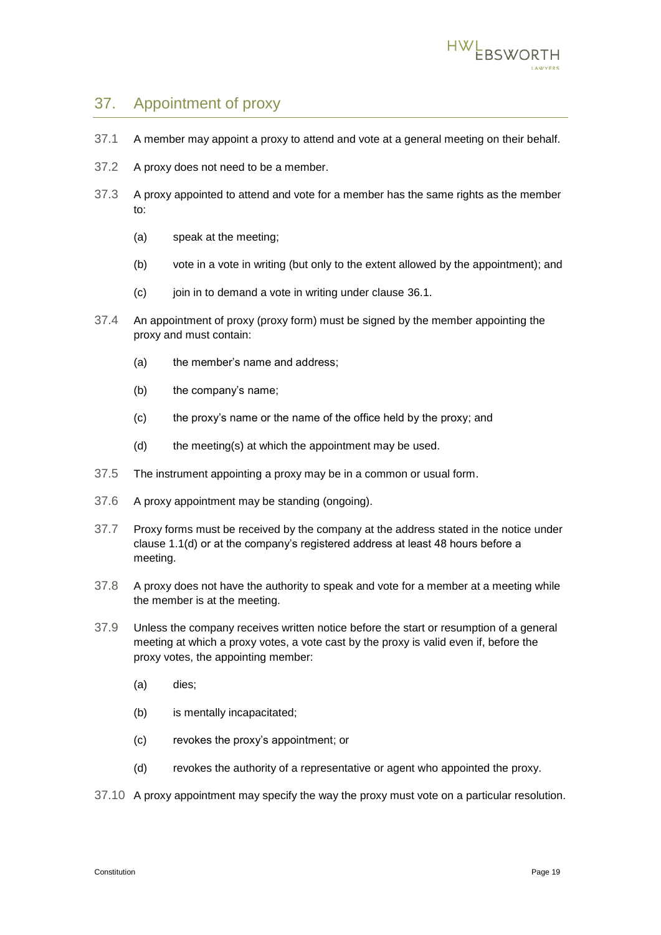

## 37. Appointment of proxy

- 37.1 A member may appoint a proxy to attend and vote at a general meeting on their behalf.
- 37.2 A proxy does not need to be a member.
- 37.3 A proxy appointed to attend and vote for a member has the same rights as the member to:
	- (a) speak at the meeting;
	- (b) vote in a vote in writing (but only to the extent allowed by the appointment); and
	- (c) join in to demand a vote in writing under clause [36.1.](#page-19-1)
- 37.4 An appointment of proxy (proxy form) must be signed by the member appointing the proxy and must contain:
	- (a) the member's name and address;
	- (b) the company's name;
	- (c) the proxy's name or the name of the office held by the proxy; and
	- (d) the meeting(s) at which the appointment may be used.
- 37.5 The instrument appointing a proxy may be in a common or usual form.
- 37.6 A proxy appointment may be standing (ongoing).
- <span id="page-20-0"></span>37.7 Proxy forms must be received by the company at the address stated in the notice under clause [1.1\(d\)](#page-14-1) or at the company's registered address at least 48 hours before a meeting.
- 37.8 A proxy does not have the authority to speak and vote for a member at a meeting while the member is at the meeting.
- 37.9 Unless the company receives written notice before the start or resumption of a general meeting at which a proxy votes, a vote cast by the proxy is valid even if, before the proxy votes, the appointing member:
	- (a) dies;
	- (b) is mentally incapacitated;
	- (c) revokes the proxy's appointment; or
	- (d) revokes the authority of a representative or agent who appointed the proxy.
- 37.10 A proxy appointment may specify the way the proxy must vote on a particular resolution.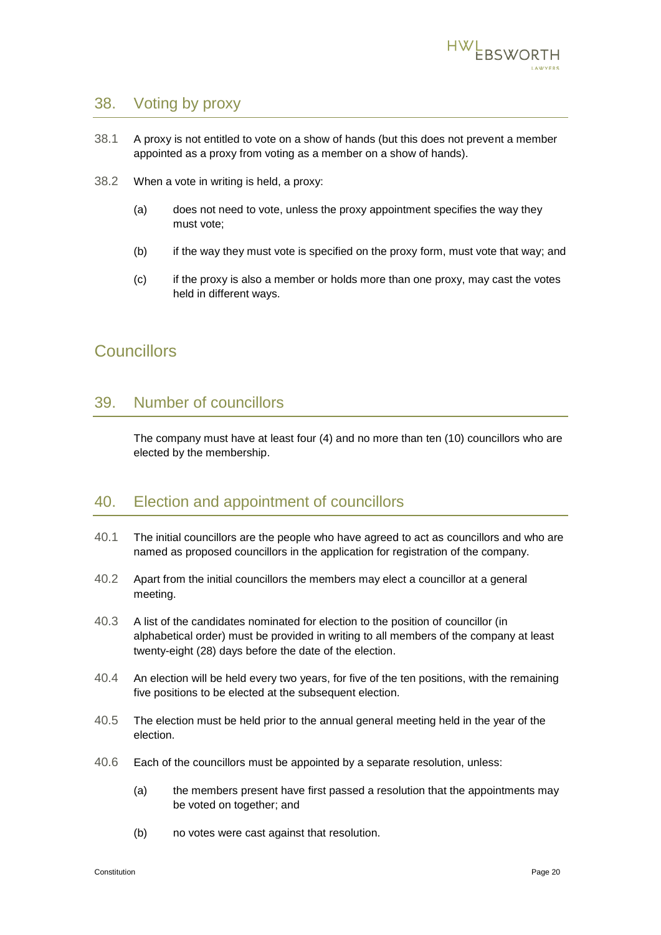

#### 38. Voting by proxy

- 38.1 A proxy is not entitled to vote on a show of hands (but this does not prevent a member appointed as a proxy from voting as a member on a show of hands).
- 38.2 When a vote in writing is held, a proxy:
	- (a) does not need to vote, unless the proxy appointment specifies the way they must vote;
	- (b) if the way they must vote is specified on the proxy form, must vote that way; and
	- (c) if the proxy is also a member or holds more than one proxy, may cast the votes held in different ways.

## <span id="page-21-0"></span>**Councillors**

#### 39. Number of councillors

The company must have at least four (4) and no more than ten (10) councillors who are elected by the membership.

#### 40. Election and appointment of councillors

- 40.1 The initial councillors are the people who have agreed to act as councillors and who are named as proposed councillors in the application for registration of the company.
- 40.2 Apart from the initial councillors the members may elect a councillor at a general meeting.
- 40.3 A list of the candidates nominated for election to the position of councillor (in alphabetical order) must be provided in writing to all members of the company at least twenty-eight (28) days before the date of the election.
- 40.4 An election will be held every two years, for five of the ten positions, with the remaining five positions to be elected at the subsequent election.
- 40.5 The election must be held prior to the annual general meeting held in the year of the election.
- 40.6 Each of the councillors must be appointed by a separate resolution, unless:
	- (a) the members present have first passed a resolution that the appointments may be voted on together; and
	- (b) no votes were cast against that resolution.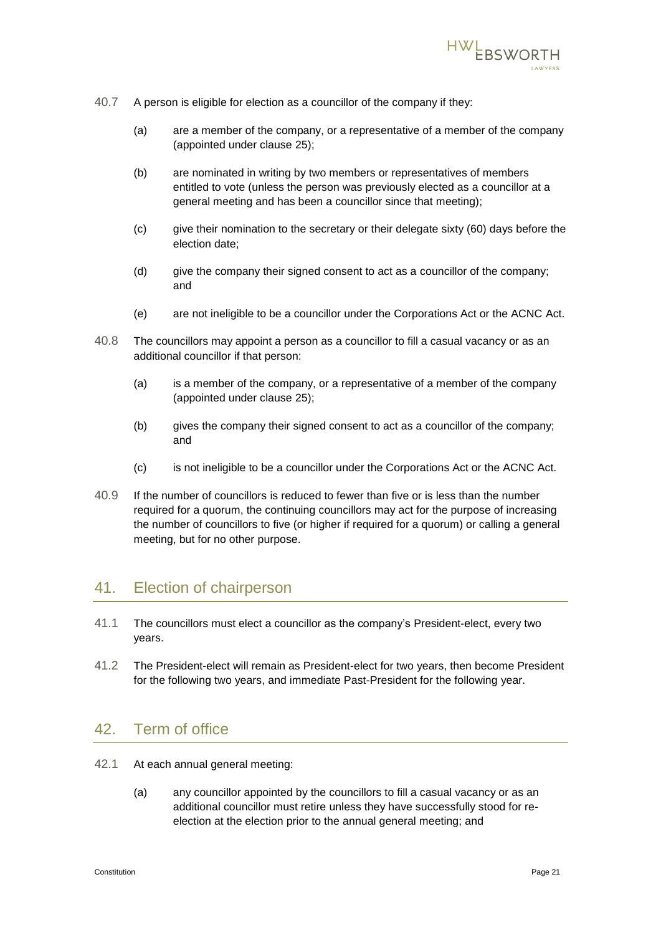

- 40.7 A person is eligible for election as a councillor of the company if they:
	- (a) are a member of the company, or a representative of a member of the company (appointed under clause [25\)](#page-15-0);
	- (b) are nominated in writing by two members or representatives of members entitled to vote (unless the person was previously elected as a councillor at a general meeting and has been a councillor since that meeting);
	- (c) give their nomination to the secretary or their delegate sixty (60) days before the election date;
	- (d) give the company their signed consent to act as a councillor of the company; and
	- (e) are not ineligible to be a councillor under the Corporations Act or the ACNC Act.
- <span id="page-22-0"></span>40.8 The councillors may appoint a person as a councillor to fill a casual vacancy or as an additional councillor if that person:
	- (a) is a member of the company, or a representative of a member of the company (appointed under clause [25\)](#page-15-0);
	- (b) gives the company their signed consent to act as a councillor of the company; and
	- (c) is not ineligible to be a councillor under the Corporations Act or the ACNC Act.
- 40.9 If the number of councillors is reduced to fewer than five or is less than the number required for a quorum, the continuing councillors may act for the purpose of increasing the number of councillors to five (or higher if required for a quorum) or calling a general meeting, but for no other purpose.

## <span id="page-22-2"></span>41. Election of chairperson

- 41.1 The councillors must elect a councillor as the company's President-elect, every two years.
- 41.2 The President-elect will remain as President-elect for two years, then become President for the following two years, and immediate Past-President for the following year.

#### 42. Term of office

- <span id="page-22-1"></span>42.1 At each annual general meeting:
	- (a) any councillor appointed by the councillors to fill a casual vacancy or as an additional councillor must retire unless they have successfully stood for reelection at the election prior to the annual general meeting; and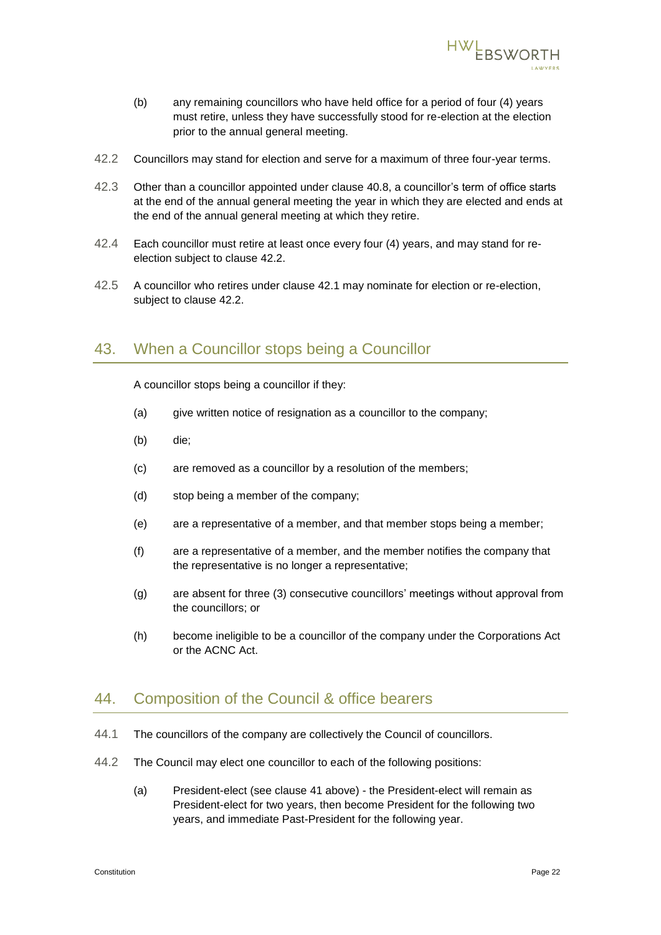

- <span id="page-23-0"></span>(b) any remaining councillors who have held office for a period of four (4) years must retire, unless they have successfully stood for re-election at the election prior to the annual general meeting.
- 42.2 Councillors may stand for election and serve for a maximum of three four-year terms.
- 42.3 Other than a councillor appointed under clause [40.8,](#page-22-0) a councillor's term of office starts at the end of the annual general meeting the year in which they are elected and ends at the end of the annual general meeting at which they retire.
- 42.4 Each councillor must retire at least once every four (4) years, and may stand for reelection subject to clause [42.2.](#page-23-0)
- 42.5 A councillor who retires under clause [42.1](#page-22-1) may nominate for election or re-election, subject to clause [42.2.](#page-23-0)

#### 43. When a Councillor stops being a Councillor

A councillor stops being a councillor if they:

- (a) give written notice of resignation as a councillor to the company;
- (b) die;
- (c) are removed as a councillor by a resolution of the members;
- (d) stop being a member of the company;
- (e) are a representative of a member, and that member stops being a member;
- (f) are a representative of a member, and the member notifies the company that the representative is no longer a representative;
- (g) are absent for three (3) consecutive councillors' meetings without approval from the councillors; or
- (h) become ineligible to be a councillor of the company under the Corporations Act or the ACNC Act.

#### 44. Composition of the Council & office bearers

- 44.1 The councillors of the company are collectively the Council of councillors.
- 44.2 The Council may elect one councillor to each of the following positions:
	- (a) President-elect (see clause [41](#page-22-2) above) the President-elect will remain as President-elect for two years, then become President for the following two years, and immediate Past-President for the following year.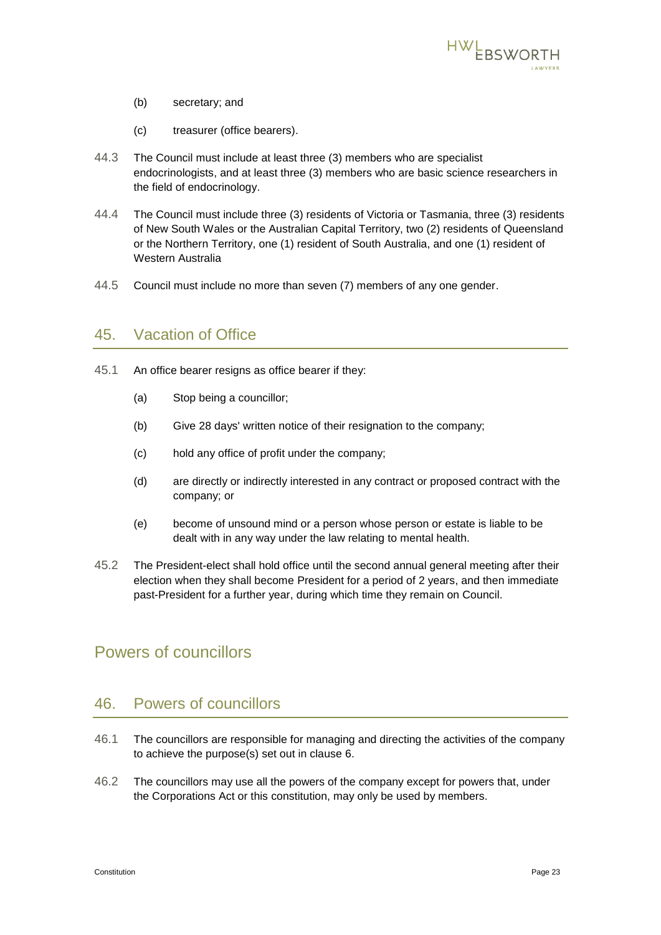

- <span id="page-24-1"></span>(b) secretary; and
- (c) treasurer (office bearers).
- <span id="page-24-2"></span>44.3 The Council must include at least three (3) members who are specialist endocrinologists, and at least three (3) members who are basic science researchers in the field of endocrinology.
- 44.4 The Council must include three (3) residents of Victoria or Tasmania, three (3) residents of New South Wales or the Australian Capital Territory, two (2) residents of Queensland or the Northern Territory, one (1) resident of South Australia, and one (1) resident of Western Australia
- 44.5 Council must include no more than seven (7) members of any one gender.

#### 45. Vacation of Office

- 45.1 An office bearer resigns as office bearer if they:
	- (a) Stop being a councillor;
	- (b) Give 28 days' written notice of their resignation to the company;
	- (c) hold any office of profit under the company;
	- (d) are directly or indirectly interested in any contract or proposed contract with the company; or
	- (e) become of unsound mind or a person whose person or estate is liable to be dealt with in any way under the law relating to mental health.
- 45.2 The President-elect shall hold office until the second annual general meeting after their election when they shall become President for a period of 2 years, and then immediate past-President for a further year, during which time they remain on Council.

## <span id="page-24-0"></span>Powers of councillors

## 46. Powers of councillors

- 46.1 The councillors are responsible for managing and directing the activities of the company to achieve the purpose(s) set out in clause [6.](#page-3-0)
- 46.2 The councillors may use all the powers of the company except for powers that, under the Corporations Act or this constitution, may only be used by members.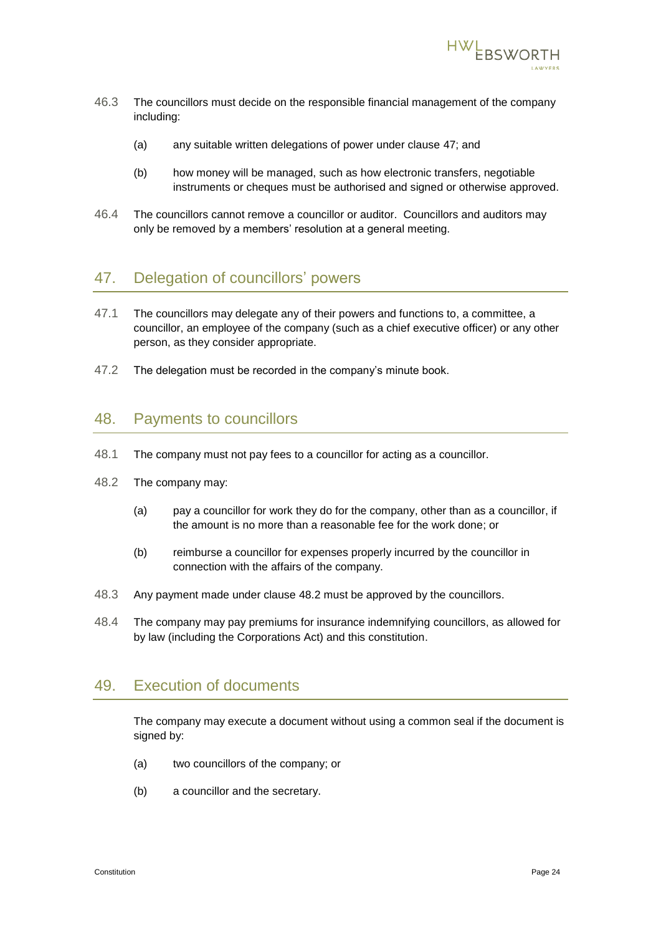

- 46.3 The councillors must decide on the responsible financial management of the company including:
	- (a) any suitable written delegations of power under clause [47;](#page-25-0) and
	- (b) how money will be managed, such as how electronic transfers, negotiable instruments or cheques must be authorised and signed or otherwise approved.
- 46.4 The councillors cannot remove a councillor or auditor. Councillors and auditors may only be removed by a members' resolution at a general meeting.

#### <span id="page-25-0"></span>47. Delegation of councillors' powers

- 47.1 The councillors may delegate any of their powers and functions to, a committee, a councillor, an employee of the company (such as a chief executive officer) or any other person, as they consider appropriate.
- 47.2 The delegation must be recorded in the company's minute book.

#### 48. Payments to councillors

- 48.1 The company must not pay fees to a councillor for acting as a councillor.
- <span id="page-25-1"></span>48.2 The company may:
	- (a) pay a councillor for work they do for the company, other than as a councillor, if the amount is no more than a reasonable fee for the work done; or
	- (b) reimburse a councillor for expenses properly incurred by the councillor in connection with the affairs of the company.
- 48.3 Any payment made under clause [48.2](#page-25-1) must be approved by the councillors.
- 48.4 The company may pay premiums for insurance indemnifying councillors, as allowed for by law (including the Corporations Act) and this constitution.

#### 49. Execution of documents

The company may execute a document without using a common seal if the document is signed by:

- (a) two councillors of the company; or
- (b) a councillor and the secretary.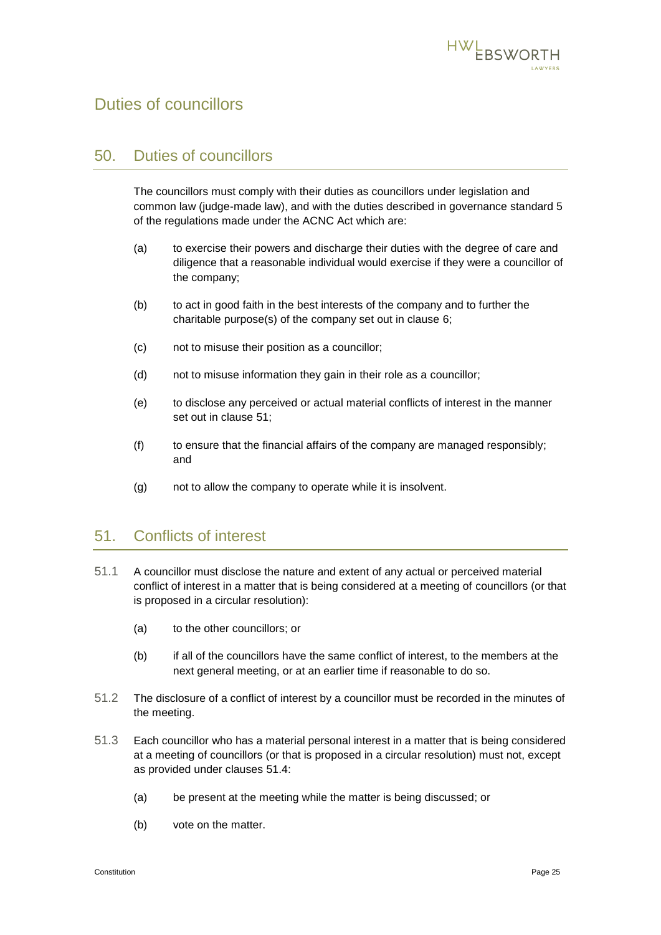

## <span id="page-26-0"></span>Duties of councillors

#### 50. Duties of councillors

The councillors must comply with their duties as councillors under legislation and common law (judge-made law), and with the duties described in governance standard 5 of the regulations made under the ACNC Act which are:

- (a) to exercise their powers and discharge their duties with the degree of care and diligence that a reasonable individual would exercise if they were a councillor of the company;
- (b) to act in good faith in the best interests of the company and to further the charitable purpose(s) of the company set out in clause [6;](#page-3-0)
- (c) not to misuse their position as a councillor;
- (d) not to misuse information they gain in their role as a councillor;
- (e) to disclose any perceived or actual material conflicts of interest in the manner set out in clause [51;](#page-26-1)
- (f) to ensure that the financial affairs of the company are managed responsibly; and
- (g) not to allow the company to operate while it is insolvent.

#### <span id="page-26-1"></span>51. Conflicts of interest

- 51.1 A councillor must disclose the nature and extent of any actual or perceived material conflict of interest in a matter that is being considered at a meeting of councillors (or that is proposed in a circular resolution):
	- (a) to the other councillors; or
	- (b) if all of the councillors have the same conflict of interest, to the members at the next general meeting, or at an earlier time if reasonable to do so.
- 51.2 The disclosure of a conflict of interest by a councillor must be recorded in the minutes of the meeting.
- 51.3 Each councillor who has a material personal interest in a matter that is being considered at a meeting of councillors (or that is proposed in a circular resolution) must not, except as provided under clauses [51.4:](#page-27-1)
	- (a) be present at the meeting while the matter is being discussed; or
	- (b) vote on the matter.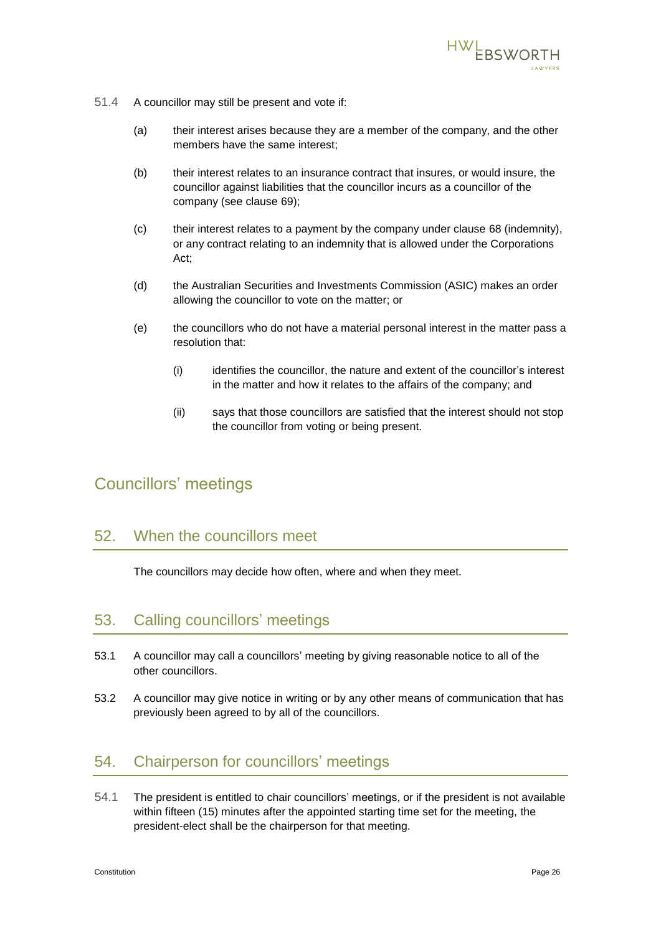

- <span id="page-27-1"></span>51.4 A councillor may still be present and vote if:
	- (a) their interest arises because they are a member of the company, and the other members have the same interest;
	- (b) their interest relates to an insurance contract that insures, or would insure, the councillor against liabilities that the councillor incurs as a councillor of the company (see clause [69\)](#page-33-1);
	- (c) their interest relates to a payment by the company under clause [68](#page-32-2) (indemnity), or any contract relating to an indemnity that is allowed under the Corporations Act;
	- (d) the Australian Securities and Investments Commission (ASIC) makes an order allowing the councillor to vote on the matter; or
	- (e) the councillors who do not have a material personal interest in the matter pass a resolution that:
		- (i) identifies the councillor, the nature and extent of the councillor's interest in the matter and how it relates to the affairs of the company; and
		- (ii) says that those councillors are satisfied that the interest should not stop the councillor from voting or being present.

## <span id="page-27-0"></span>Councillors' meetings

## 52. When the councillors meet

The councillors may decide how often, where and when they meet.

#### 53. Calling councillors' meetings

- 53.1 A councillor may call a councillors' meeting by giving reasonable notice to all of the other councillors.
- 53.2 A councillor may give notice in writing or by any other means of communication that has previously been agreed to by all of the councillors.

#### 54. Chairperson for councillors' meetings

54.1 The president is entitled to chair councillors' meetings, or if the president is not available within fifteen (15) minutes after the appointed starting time set for the meeting, the president-elect shall be the chairperson for that meeting.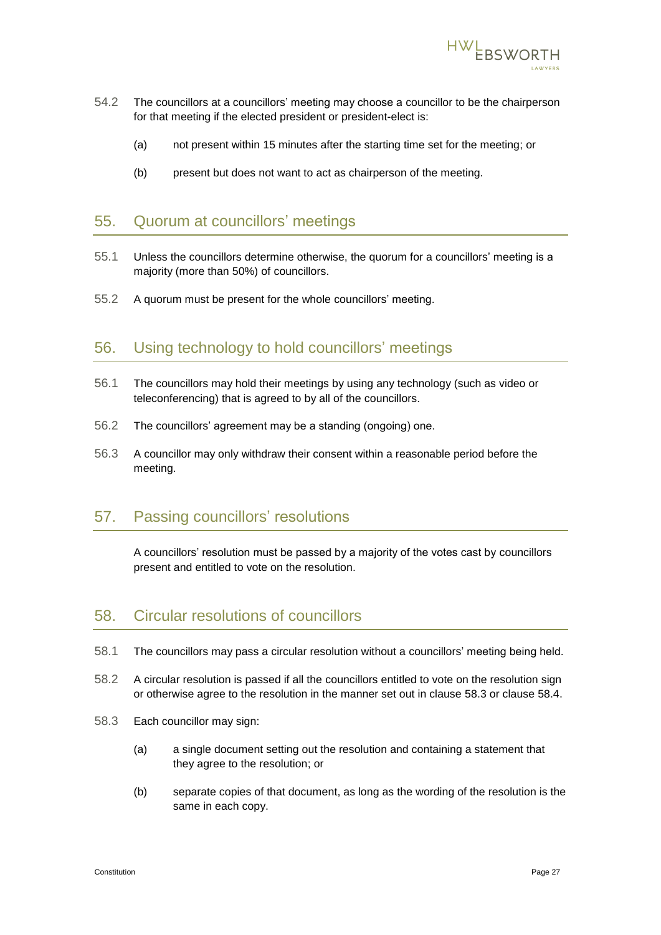

- 54.2 The councillors at a councillors' meeting may choose a councillor to be the chairperson for that meeting if the elected president or president-elect is:
	- (a) not present within 15 minutes after the starting time set for the meeting; or
	- (b) present but does not want to act as chairperson of the meeting.

#### 55. Quorum at councillors' meetings

- 55.1 Unless the councillors determine otherwise, the quorum for a councillors' meeting is a majority (more than 50%) of councillors.
- 55.2 A quorum must be present for the whole councillors' meeting.

## 56. Using technology to hold councillors' meetings

- 56.1 The councillors may hold their meetings by using any technology (such as video or teleconferencing) that is agreed to by all of the councillors.
- 56.2 The councillors' agreement may be a standing (ongoing) one.
- 56.3 A councillor may only withdraw their consent within a reasonable period before the meeting.

## 57. Passing councillors' resolutions

A councillors' resolution must be passed by a majority of the votes cast by councillors present and entitled to vote on the resolution.

#### 58. Circular resolutions of councillors

- 58.1 The councillors may pass a circular resolution without a councillors' meeting being held.
- 58.2 A circular resolution is passed if all the councillors entitled to vote on the resolution sign or otherwise agree to the resolution in the manner set out in clause [58.3](#page-28-0) or clause [58.4.](#page-29-2)
- <span id="page-28-0"></span>58.3 Each councillor may sign:
	- (a) a single document setting out the resolution and containing a statement that they agree to the resolution; or
	- (b) separate copies of that document, as long as the wording of the resolution is the same in each copy.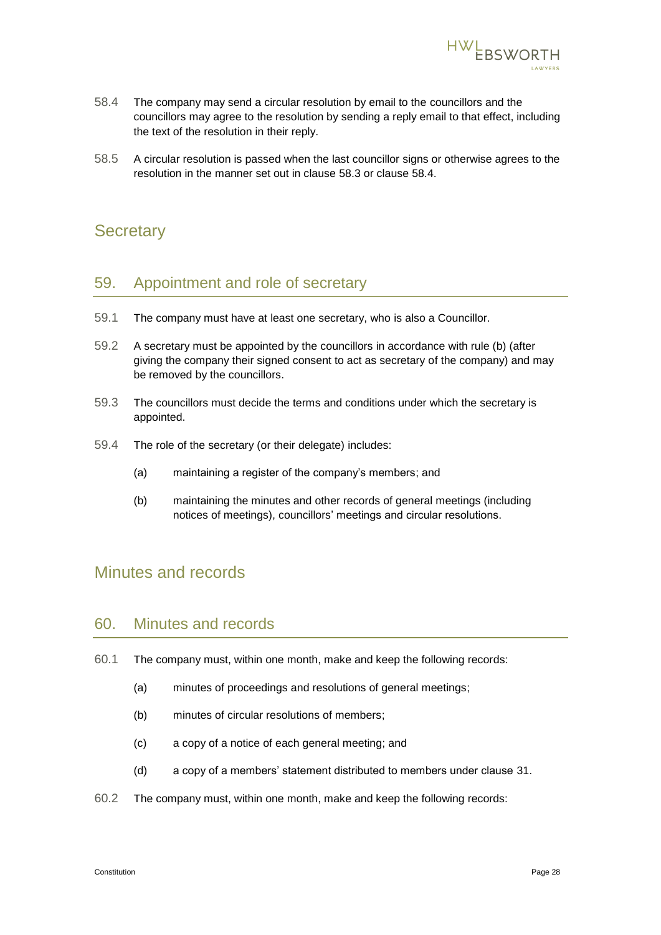

- <span id="page-29-2"></span>58.4 The company may send a circular resolution by email to the councillors and the councillors may agree to the resolution by sending a reply email to that effect, including the text of the resolution in their reply.
- 58.5 A circular resolution is passed when the last councillor signs or otherwise agrees to the resolution in the manner set out in clause [58.3](#page-28-0) or clause [58.4.](#page-29-2)

## <span id="page-29-0"></span>**Secretary**

#### <span id="page-29-5"></span>59. Appointment and role of secretary

- 59.1 The company must have at least one secretary, who is also a Councillor.
- 59.2 A secretary must be appointed by the councillors in accordance with rule [\(b\)](#page-24-1) (after giving the company their signed consent to act as secretary of the company) and may be removed by the councillors.
- 59.3 The councillors must decide the terms and conditions under which the secretary is appointed.
- 59.4 The role of the secretary (or their delegate) includes:
	- (a) maintaining a register of the company's members; and
	- (b) maintaining the minutes and other records of general meetings (including notices of meetings), councillors' meetings and circular resolutions.

## <span id="page-29-1"></span>Minutes and records

#### 60. Minutes and records

- <span id="page-29-3"></span>60.1 The company must, within one month, make and keep the following records:
	- (a) minutes of proceedings and resolutions of general meetings;
	- (b) minutes of circular resolutions of members;
	- (c) a copy of a notice of each general meeting; and
	- (d) a copy of a members' statement distributed to members under clause [31.](#page-17-1)
- <span id="page-29-4"></span>60.2 The company must, within one month, make and keep the following records: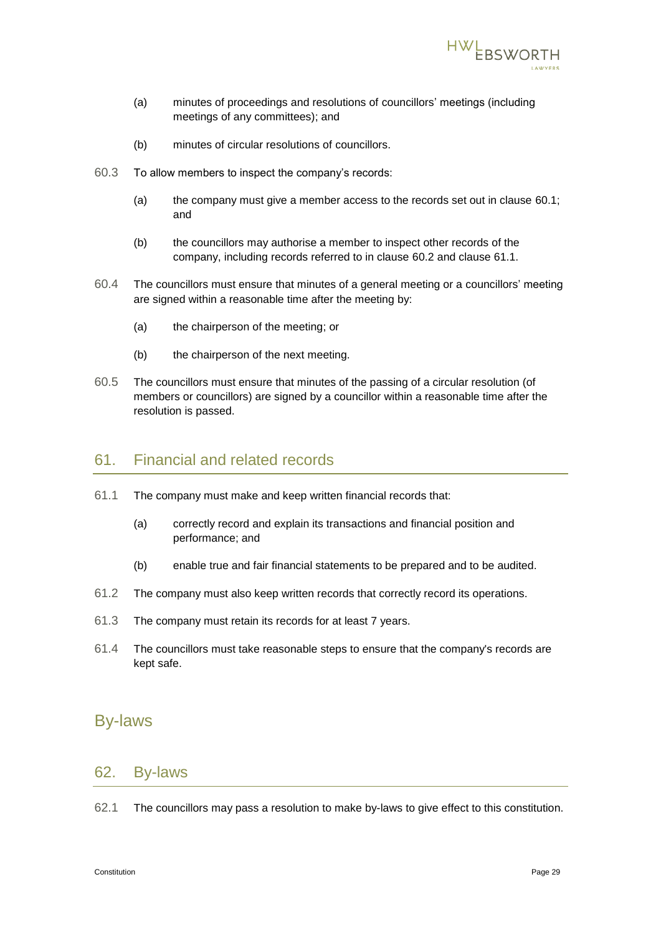

- (a) minutes of proceedings and resolutions of councillors' meetings (including meetings of any committees); and
- (b) minutes of circular resolutions of councillors.
- 60.3 To allow members to inspect the company's records:
	- (a) the company must give a member access to the records set out in clause [60.1;](#page-29-3) and
	- (b) the councillors may authorise a member to inspect other records of the company, including records referred to in clause [60.2](#page-29-4) and clause [61.1.](#page-30-1)
- 60.4 The councillors must ensure that minutes of a general meeting or a councillors' meeting are signed within a reasonable time after the meeting by:
	- (a) the chairperson of the meeting; or
	- (b) the chairperson of the next meeting.
- 60.5 The councillors must ensure that minutes of the passing of a circular resolution (of members or councillors) are signed by a councillor within a reasonable time after the resolution is passed.

## 61. Financial and related records

- <span id="page-30-1"></span>61.1 The company must make and keep written financial records that:
	- (a) correctly record and explain its transactions and financial position and performance; and
	- (b) enable true and fair financial statements to be prepared and to be audited.
- 61.2 The company must also keep written records that correctly record its operations.
- 61.3 The company must retain its records for at least 7 years.
- 61.4 The councillors must take reasonable steps to ensure that the company's records are kept safe.

#### <span id="page-30-0"></span>By-laws

#### 62. By-laws

62.1 The councillors may pass a resolution to make by-laws to give effect to this constitution.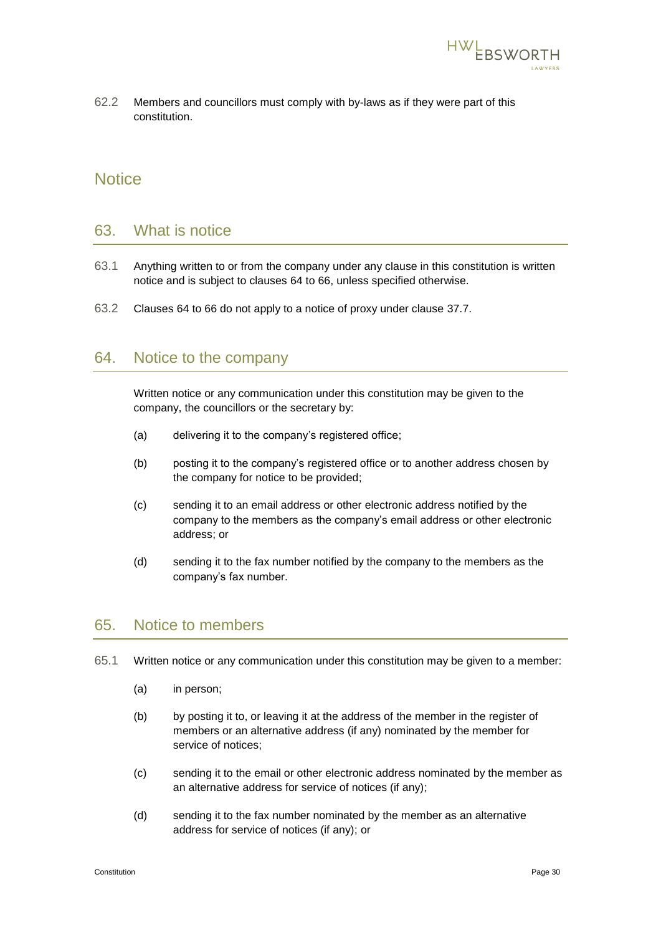

62.2 Members and councillors must comply with by-laws as if they were part of this constitution.

### <span id="page-31-0"></span>**Notice**

#### 63. What is notice

- 63.1 Anything written to or from the company under any clause in this constitution is written notice and is subject to clauses [64](#page-31-1) to [66,](#page-32-3) unless specified otherwise.
- 63.2 Clauses [64](#page-31-1) to [66](#page-32-3) do not apply to a notice of proxy under clause [37.7.](#page-20-0)

#### <span id="page-31-1"></span>64. Notice to the company

Written notice or any communication under this constitution may be given to the company, the councillors or the secretary by:

- (a) delivering it to the company's registered office;
- (b) posting it to the company's registered office or to another address chosen by the company for notice to be provided;
- (c) sending it to an email address or other electronic address notified by the company to the members as the company's email address or other electronic address; or
- (d) sending it to the fax number notified by the company to the members as the company's fax number.

#### 65. Notice to members

- 65.1 Written notice or any communication under this constitution may be given to a member:
	- (a) in person;
	- (b) by posting it to, or leaving it at the address of the member in the register of members or an alternative address (if any) nominated by the member for service of notices;
	- (c) sending it to the email or other electronic address nominated by the member as an alternative address for service of notices (if any);
	- (d) sending it to the fax number nominated by the member as an alternative address for service of notices (if any); or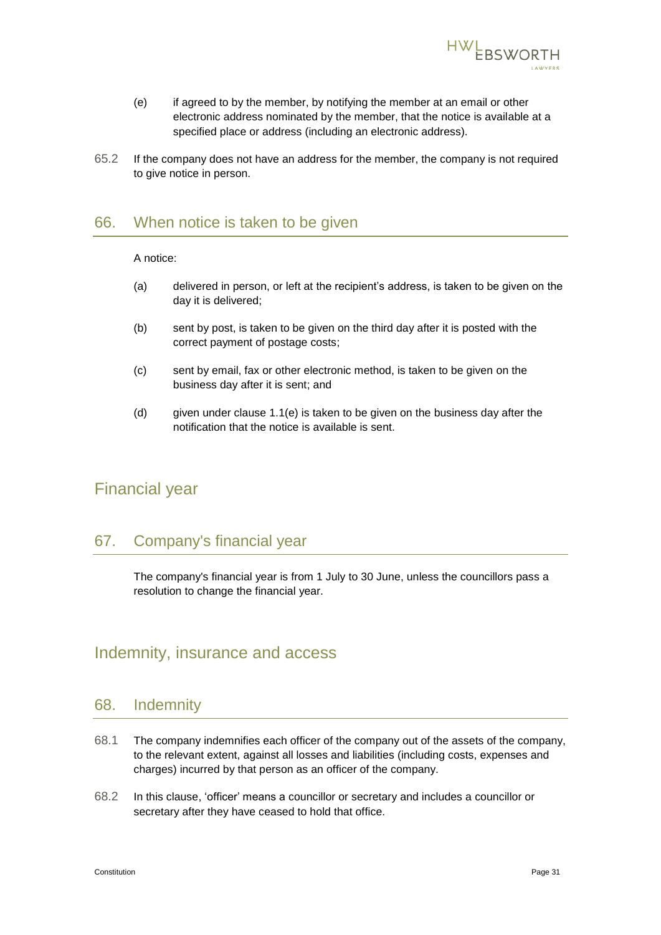

- <span id="page-32-4"></span>(e) if agreed to by the member, by notifying the member at an email or other electronic address nominated by the member, that the notice is available at a specified place or address (including an electronic address).
- 65.2 If the company does not have an address for the member, the company is not required to give notice in person.

#### <span id="page-32-3"></span>66. When notice is taken to be given

A notice:

- (a) delivered in person, or left at the recipient's address, is taken to be given on the day it is delivered;
- (b) sent by post, is taken to be given on the third day after it is posted with the correct payment of postage costs;
- (c) sent by email, fax or other electronic method, is taken to be given on the business day after it is sent; and
- (d) given under clause [1.1\(e\)](#page-32-4) is taken to be given on the business day after the notification that the notice is available is sent.

## <span id="page-32-0"></span>Financial year

#### 67. Company's financial year

The company's financial year is from 1 July to 30 June, unless the councillors pass a resolution to change the financial year.

## <span id="page-32-1"></span>Indemnity, insurance and access

#### <span id="page-32-2"></span>68. Indemnity

- 68.1 The company indemnifies each officer of the company out of the assets of the company, to the relevant extent, against all losses and liabilities (including costs, expenses and charges) incurred by that person as an officer of the company.
- 68.2 In this clause, 'officer' means a councillor or secretary and includes a councillor or secretary after they have ceased to hold that office.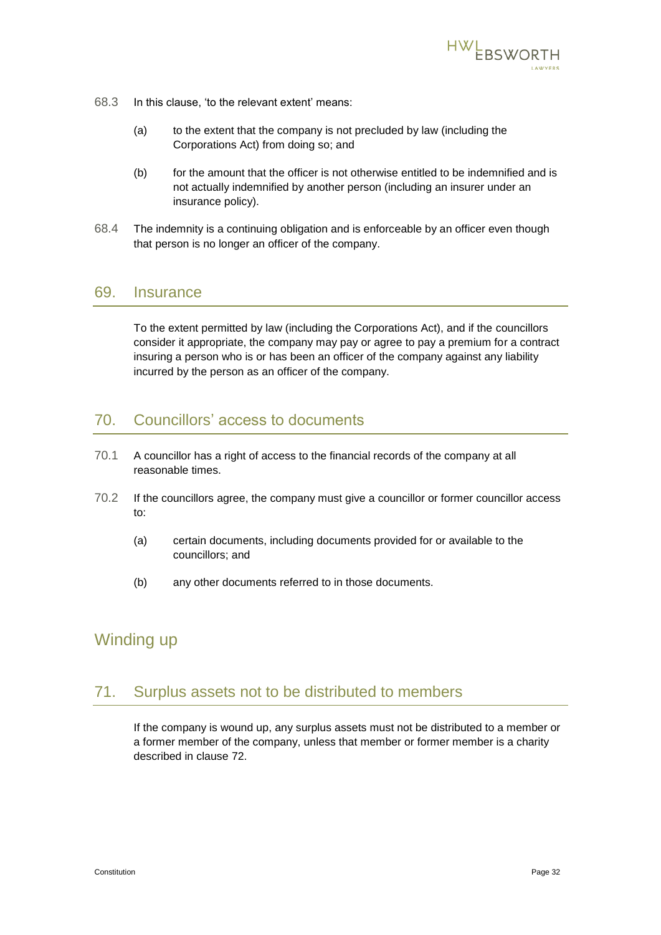

- 68.3 In this clause, 'to the relevant extent' means:
	- (a) to the extent that the company is not precluded by law (including the Corporations Act) from doing so; and
	- (b) for the amount that the officer is not otherwise entitled to be indemnified and is not actually indemnified by another person (including an insurer under an insurance policy).
- 68.4 The indemnity is a continuing obligation and is enforceable by an officer even though that person is no longer an officer of the company.

#### <span id="page-33-1"></span>69. Insurance

To the extent permitted by law (including the Corporations Act), and if the councillors consider it appropriate, the company may pay or agree to pay a premium for a contract insuring a person who is or has been an officer of the company against any liability incurred by the person as an officer of the company.

## 70. Councillors' access to documents

- 70.1 A councillor has a right of access to the financial records of the company at all reasonable times.
- 70.2 If the councillors agree, the company must give a councillor or former councillor access to:
	- (a) certain documents, including documents provided for or available to the councillors; and
	- (b) any other documents referred to in those documents.

## <span id="page-33-0"></span>Winding up

#### 71. Surplus assets not to be distributed to members

If the company is wound up, any surplus assets must not be distributed to a member or a former member of the company, unless that member or former member is a charity described in clause [72.](#page-34-1)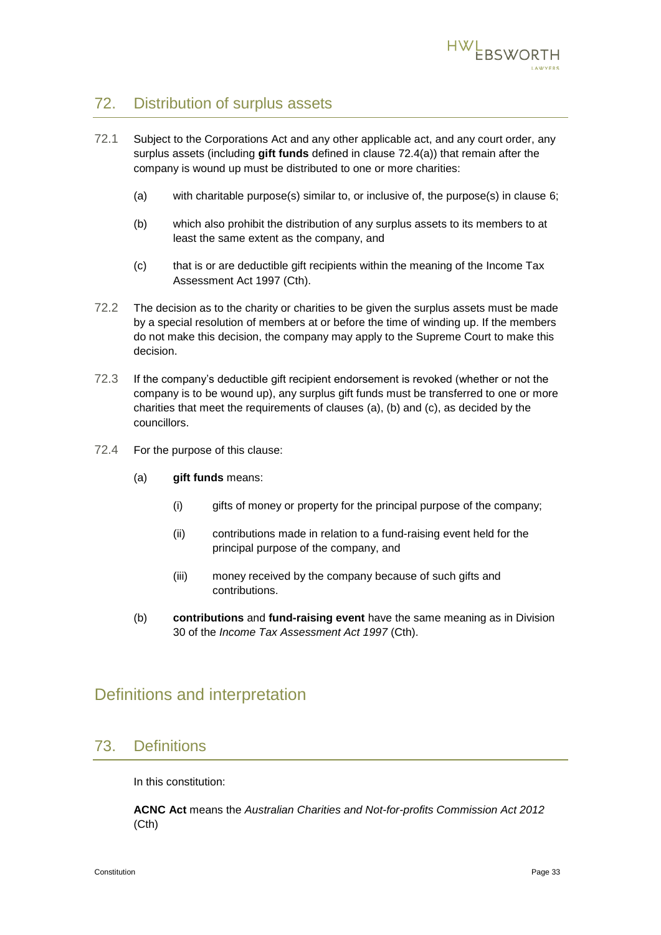

## <span id="page-34-1"></span>72. Distribution of surplus assets

- <span id="page-34-4"></span><span id="page-34-3"></span>72.1 Subject to the Corporations Act and any other applicable act, and any court order, any surplus assets (including **gift funds** defined in clause [72.4\(](#page-34-2)a)) that remain after the company is wound up must be distributed to one or more charities:
	- (a) with charitable purpose(s) similar to, or inclusive of, the purpose(s) in clause [6;](#page-3-0)
	- (b) which also prohibit the distribution of any surplus assets to its members to at least the same extent as the company, and
	- (c) that is or are deductible gift recipients within the meaning of the Income Tax Assessment Act 1997 (Cth).
- <span id="page-34-5"></span>72.2 The decision as to the charity or charities to be given the surplus assets must be made by a special resolution of members at or before the time of winding up. If the members do not make this decision, the company may apply to the Supreme Court to make this decision.
- 72.3 If the company's deductible gift recipient endorsement is revoked (whether or not the company is to be wound up), any surplus gift funds must be transferred to one or more charities that meet the requirements of clauses  $(a)$ ,  $(b)$  and  $(c)$ , as decided by the councillors.
- <span id="page-34-2"></span>72.4 For the purpose of this clause:
	- (a) **gift funds** means:
		- (i) gifts of money or property for the principal purpose of the company;
		- (ii) contributions made in relation to a fund-raising event held for the principal purpose of the company, and
		- (iii) money received by the company because of such gifts and contributions.
	- (b) **contributions** and **fund-raising event** have the same meaning as in Division 30 of the *Income Tax Assessment Act 1997* (Cth).

## Definitions and interpretation

#### 73. Definitions

<span id="page-34-0"></span>In this constitution:

**ACNC Act** means the *Australian Charities and Not-for-profits Commission Act 2012*  (Cth)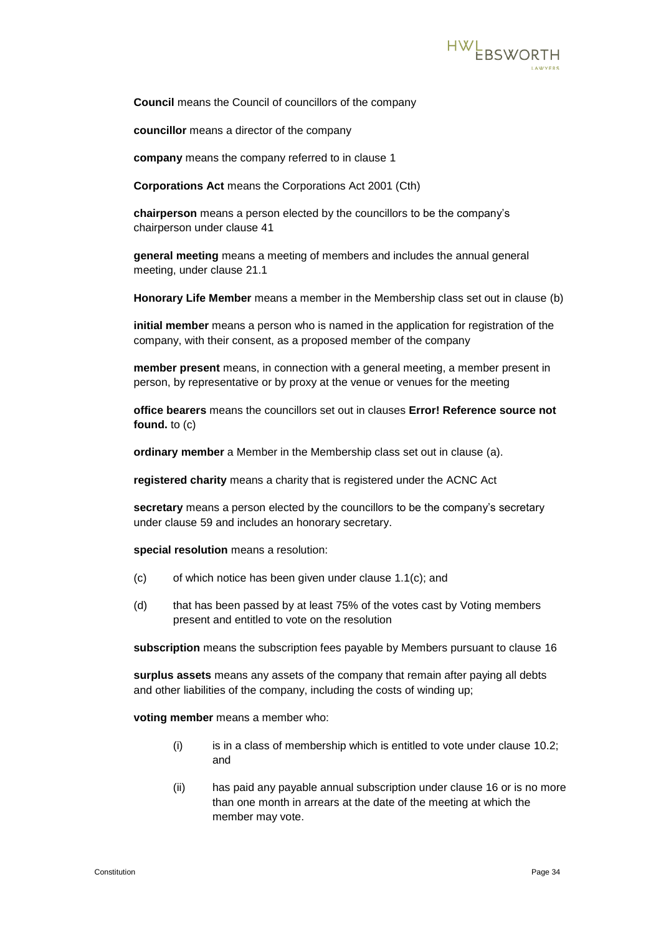

**Council** means the Council of councillors of the company

**councillor** means a director of the company

**company** means the company referred to in clause [1](#page-2-2)

**Corporations Act** means the Corporations Act 2001 (Cth)

**chairperson** means a person elected by the councillors to be the company's chairperson under clause [41](#page-22-2)

**general meeting** means a meeting of members and includes the annual general meeting, under clause [21.1](#page-13-0)

**Honorary Life Member** means a member in the Membership class set out in clause [\(b\)](#page-5-1)

**initial member** means a person who is named in the application for registration of the company, with their consent, as a proposed member of the company

**member present** means, in connection with a general meeting, a member present in person, by representative or by proxy at the venue or venues for the meeting

**office bearers** means the councillors set out in clauses **Error! Reference source not found.** to [\(c\)](#page-24-2)

**ordinary member** a Member in the Membership class set out in clause [\(a\).](#page-5-2)

**registered charity** means a charity that is registered under the ACNC Act

**secretary** means a person elected by the councillors to be the company's secretary under clause [59](#page-29-5) and includes an honorary secretary.

**special resolution** means a resolution:

- (c) of which notice has been given under clause [1.1\(c\);](#page-14-2) and
- (d) that has been passed by at least 75% of the votes cast by Voting members present and entitled to vote on the resolution

**subscription** means the subscription fees payable by Members pursuant to clause [16](#page-9-2)

**surplus assets** means any assets of the company that remain after paying all debts and other liabilities of the company, including the costs of winding up;

**voting member** means a member who:

- (i) is in a class of membership which is entitled to vote under clause [10.2;](#page-5-3) and
- (ii) has paid any payable annual subscription under clause [16](#page-9-2) or is no more than one month in arrears at the date of the meeting at which the member may vote.